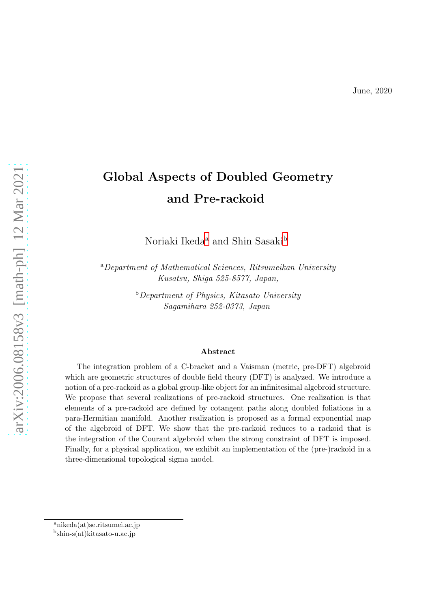# Global Aspects of Doubled Geometry and Pre-rackoid

Nori[a](#page-0-0)ki Ikeda $\rm{a}$  and Shin Sasaki $\rm{^{b}}$  $\rm{^{b}}$  $\rm{^{b}}$ 

<sup>a</sup>Department of Mathematical Sciences, Ritsumeikan University Kusatsu, Shiga 525-8577, Japan,

> $b$ Department of Physics, Kitasato University Sagamihara 252-0373, Japan

#### Abstract

The integration problem of a C-bracket and a Vaisman (metric, pre-DFT) algebroid which are geometric structures of double field theory (DFT) is analyzed. We introduce a notion of a pre-rackoid as a global group-like object for an infinitesimal algebroid structure. We propose that several realizations of pre-rackoid structures. One realization is that elements of a pre-rackoid are defined by cotangent paths along doubled foliations in a para-Hermitian manifold. Another realization is proposed as a formal exponential map of the algebroid of DFT. We show that the pre-rackoid reduces to a rackoid that is the integration of the Courant algebroid when the strong constraint of DFT is imposed. Finally, for a physical application, we exhibit an implementation of the (pre-)rackoid in a three-dimensional topological sigma model.

<sup>a</sup>nikeda(at)se.ritsumei.ac.jp

<span id="page-0-1"></span><span id="page-0-0"></span>b shin-s(at)kitasato-u.ac.jp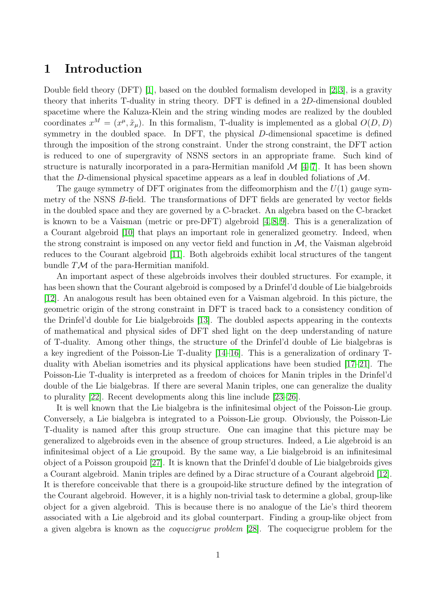### 1 Introduction

Double field theory (DFT) [\[1\]](#page-27-0), based on the doubled formalism developed in [\[2,](#page-27-1)[3\]](#page-27-2), is a gravity theory that inherits T-duality in string theory. DFT is defined in a 2D-dimensional doubled spacetime where the Kaluza-Klein and the string winding modes are realized by the doubled coordinates  $x^M = (x^{\mu}, \tilde{x}_{\mu})$ . In this formalism, T-duality is implemented as a global  $O(D, D)$ symmetry in the doubled space. In DFT, the physical D-dimensional spacetime is defined through the imposition of the strong constraint. Under the strong constraint, the DFT action is reduced to one of supergravity of NSNS sectors in an appropriate frame. Such kind of structure is naturally incorporated in a para-Hermitian manifold  $\mathcal{M}$  [\[4–](#page-27-3)[7\]](#page-27-4). It has been shown that the D-dimensional physical spacetime appears as a leaf in doubled foliations of  $M$ .

The gauge symmetry of DFT originates from the diffeomorphism and the  $U(1)$  gauge symmetry of the NSNS B-field. The transformations of DFT fields are generated by vector fields in the doubled space and they are governed by a C-bracket. An algebra based on the C-bracket is known to be a Vaisman (metric or pre-DFT) algebroid [\[4,](#page-27-3) [8,](#page-27-5) [9\]](#page-27-6). This is a generalization of a Courant algebroid [\[10\]](#page-27-7) that plays an important role in generalized geometry. Indeed, when the strong constraint is imposed on any vector field and function in  $\mathcal{M}$ , the Vaisman algebroid reduces to the Courant algebroid [\[11\]](#page-27-8). Both algebroids exhibit local structures of the tangent bundle  $T\mathcal{M}$  of the para-Hermitian manifold.

An important aspect of these algebroids involves their doubled structures. For example, it has been shown that the Courant algebroid is composed by a Drinfel'd double of Lie bialgebroids [\[12\]](#page-27-9). An analogous result has been obtained even for a Vaisman algebroid. In this picture, the geometric origin of the strong constraint in DFT is traced back to a consistency condition of the Drinfel'd double for Lie bialgebroids [\[13\]](#page-27-10). The doubled aspects appearing in the contexts of mathematical and physical sides of DFT shed light on the deep understanding of nature of T-duality. Among other things, the structure of the Drinfel'd double of Lie bialgebras is a key ingredient of the Poisson-Lie T-duality [\[14](#page-28-0)[–16\]](#page-28-1). This is a generalization of ordinary Tduality with Abelian isometries and its physical applications have been studied [\[17](#page-28-2)[–21\]](#page-28-3). The Poisson-Lie T-duality is interpreted as a freedom of choices for Manin triples in the Drinfel'd double of the Lie bialgebras. If there are several Manin triples, one can generalize the duality to plurality [\[22\]](#page-28-4). Recent developments along this line include [\[23–](#page-28-5)[26\]](#page-28-6).

It is well known that the Lie bialgebra is the infinitesimal object of the Poisson-Lie group. Conversely, a Lie bialgebra is integrated to a Poisson-Lie group. Obviously, the Poisson-Lie T-duality is named after this group structure. One can imagine that this picture may be generalized to algebroids even in the absence of group structures. Indeed, a Lie algebroid is an infinitesimal object of a Lie groupoid. By the same way, a Lie bialgebroid is an infinitesimal object of a Poisson groupoid [\[27\]](#page-28-7). It is known that the Drinfel'd double of Lie bialgebroids gives a Courant algebroid. Manin triples are defined by a Dirac structure of a Courant algebroid [\[12\]](#page-27-9). It is therefore conceivable that there is a groupoid-like structure defined by the integration of the Courant algebroid. However, it is a highly non-trivial task to determine a global, group-like object for a given algebroid. This is because there is no analogue of the Lie's third theorem associated with a Lie algebroid and its global counterpart. Finding a group-like object from a given algebra is known as the coquecigrue problem [\[28\]](#page-28-8). The coquecigrue problem for the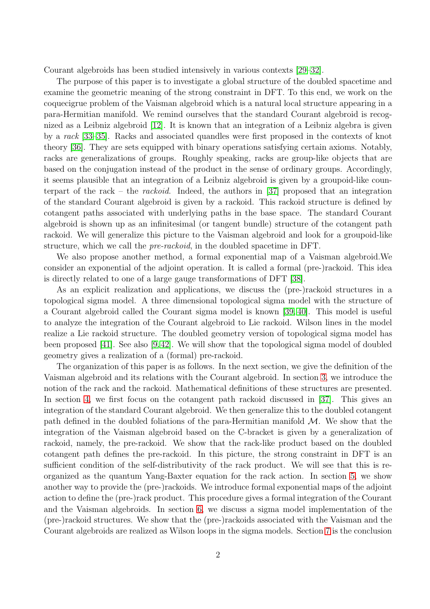Courant algebroids has been studied intensively in various contexts [\[29](#page-28-9)[–32\]](#page-29-0).

The purpose of this paper is to investigate a global structure of the doubled spacetime and examine the geometric meaning of the strong constraint in DFT. To this end, we work on the coquecigrue problem of the Vaisman algebroid which is a natural local structure appearing in a para-Hermitian manifold. We remind ourselves that the standard Courant algebroid is recognized as a Leibniz algebroid [\[12\]](#page-27-9). It is known that an integration of a Leibniz algebra is given by a rack [\[33–](#page-29-1)[35\]](#page-29-2). Racks and associated quandles were first proposed in the contexts of knot theory [\[36\]](#page-29-3). They are sets equipped with binary operations satisfying certain axioms. Notably, racks are generalizations of groups. Roughly speaking, racks are group-like objects that are based on the conjugation instead of the product in the sense of ordinary groups. Accordingly, it seems plausible that an integration of a Leibniz algebroid is given by a groupoid-like counterpart of the rack – the rackoid. Indeed, the authors in [\[37\]](#page-29-4) proposed that an integration of the standard Courant algebroid is given by a rackoid. This rackoid structure is defined by cotangent paths associated with underlying paths in the base space. The standard Courant algebroid is shown up as an infinitesimal (or tangent bundle) structure of the cotangent path rackoid. We will generalize this picture to the Vaisman algebroid and look for a groupoid-like structure, which we call the pre-rackoid, in the doubled spacetime in DFT.

We also propose another method, a formal exponential map of a Vaisman algebroid.We consider an exponential of the adjoint operation. It is called a formal (pre-)rackoid. This idea is directly related to one of a large gauge transformations of DFT [\[38\]](#page-29-5).

As an explicit realization and applications, we discuss the (pre-)rackoid structures in a topological sigma model. A three dimensional topological sigma model with the structure of a Courant algebroid called the Courant sigma model is known [\[39,](#page-29-6) [40\]](#page-29-7). This model is useful to analyze the integration of the Courant algebroid to Lie rackoid. Wilson lines in the model realize a Lie rackoid structure. The doubled geometry version of topological sigma model has been proposed [\[41\]](#page-29-8). See also [\[9,](#page-27-6)[42\]](#page-29-9). We will show that the topological sigma model of doubled geometry gives a realization of a (formal) pre-rackoid.

The organization of this paper is as follows. In the next section, we give the definition of the Vaisman algebroid and its relations with the Courant algebroid. In section [3,](#page-4-0) we introduce the notion of the rack and the rackoid. Mathematical definitions of these structures are presented. In section [4,](#page-9-0) we first focus on the cotangent path rackoid discussed in [\[37\]](#page-29-4). This gives an integration of the standard Courant algebroid. We then generalize this to the doubled cotangent path defined in the doubled foliations of the para-Hermitian manifold  $\mathcal{M}$ . We show that the integration of the Vaisman algebroid based on the C-bracket is given by a generalization of rackoid, namely, the pre-rackoid. We show that the rack-like product based on the doubled cotangent path defines the pre-rackoid. In this picture, the strong constraint in DFT is an sufficient condition of the self-distributivity of the rack product. We will see that this is reorganized as the quantum Yang-Baxter equation for the rack action. In section [5,](#page-18-0) we show another way to provide the (pre-)rackoids. We introduce formal exponential maps of the adjoint action to define the (pre-)rack product. This procedure gives a formal integration of the Courant and the Vaisman algebroids. In section [6,](#page-20-0) we discuss a sigma model implementation of the (pre-)rackoid structures. We show that the (pre-)rackoids associated with the Vaisman and the Courant algebroids are realized as Wilson loops in the sigma models. Section [7](#page-25-0) is the conclusion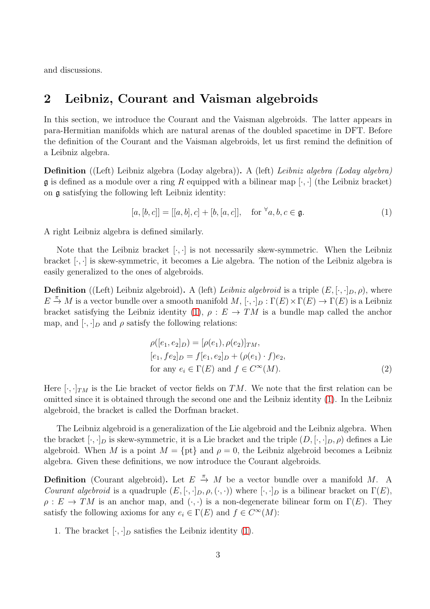and discussions.

### 2 Leibniz, Courant and Vaisman algebroids

In this section, we introduce the Courant and the Vaisman algebroids. The latter appears in para-Hermitian manifolds which are natural arenas of the doubled spacetime in DFT. Before the definition of the Courant and the Vaisman algebroids, let us first remind the definition of a Leibniz algebra.

Definition ((Left) Leibniz algebra (Loday algebra)). A (left) Leibniz algebra (Loday algebra) **g** is defined as a module over a ring R equipped with a bilinear map  $[\cdot, \cdot]$  (the Leibniz bracket) on g satisfying the following left Leibniz identity:

<span id="page-3-0"></span>
$$
[a, [b, c]] = [[a, b], c] + [b, [a, c]], \quad \text{for }^{\forall} a, b, c \in \mathfrak{g}.
$$
 (1)

A right Leibniz algebra is defined similarly.

Note that the Leibniz bracket  $[\cdot, \cdot]$  is not necessarily skew-symmetric. When the Leibniz bracket [·, ·] is skew-symmetric, it becomes a Lie algebra. The notion of the Leibniz algebra is easily generalized to the ones of algebroids.

**Definition** ((Left) Leibniz algebroid). A (left) Leibniz algebroid is a triple  $(E, [\cdot, \cdot]_D, \rho)$ , where  $E \stackrel{\pi}{\to} M$  is a vector bundle over a smooth manifold  $M$ ,  $[\cdot, \cdot]_D : \Gamma(E) \times \Gamma(E) \to \Gamma(E)$  is a Leibniz bracket satisfying the Leibniz identity [\(1\)](#page-3-0),  $\rho : E \to TM$  is a bundle map called the anchor map, and  $[\cdot, \cdot]_D$  and  $\rho$  satisfy the following relations:

$$
\rho([e_1, e_2]_D) = [\rho(e_1), \rho(e_2)]_{TM}, \n[e_1, fe_2]_D = f[e_1, e_2]_D + (\rho(e_1) \cdot f)e_2, \nfor any  $e_i \in \Gamma(E)$  and  $f \in C^{\infty}(M)$ .
$$
\n(2)

Here  $[\cdot,\cdot]_{TM}$  is the Lie bracket of vector fields on TM. We note that the first relation can be omitted since it is obtained through the second one and the Leibniz identity [\(1\)](#page-3-0). In the Leibniz algebroid, the bracket is called the Dorfman bracket.

The Leibniz algebroid is a generalization of the Lie algebroid and the Leibniz algebra. When the bracket  $[\cdot, \cdot]_D$  is skew-symmetric, it is a Lie bracket and the triple  $(D, [\cdot, \cdot]_D, \rho)$  defines a Lie algebroid. When M is a point  $M = \{pt\}$  and  $\rho = 0$ , the Leibniz algebroid becomes a Leibniz algebra. Given these definitions, we now introduce the Courant algebroids.

**Definition** (Courant algebroid). Let  $E \stackrel{\pi}{\rightarrow} M$  be a vector bundle over a manifold M. A Courant algebroid is a quadruple  $(E, [\cdot, \cdot]_D, \rho, (\cdot, \cdot))$  where  $[\cdot, \cdot]_D$  is a bilinear bracket on  $\Gamma(E)$ ,  $\rho: E \to TM$  is an anchor map, and  $(\cdot, \cdot)$  is a non-degenerate bilinear form on  $\Gamma(E)$ . They satisfy the following axioms for any  $e_i \in \Gamma(E)$  and  $f \in C^{\infty}(M)$ :

1. The bracket  $[\cdot, \cdot]_D$  satisfies the Leibniz identity [\(1\)](#page-3-0).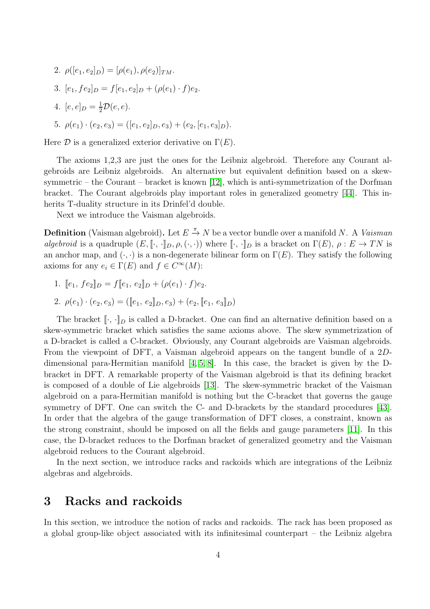2.  $\rho([e_1, e_2]_D) = [\rho(e_1), \rho(e_2)]_{TM}$ . 3.  $[e_1, fe_2]_D = f[e_1, e_2]_D + (\rho(e_1) \cdot f)e_2$ . 4.  $[e, e]_D = \frac{1}{2}\mathcal{D}(e, e)$ . 5.  $\rho(e_1) \cdot (e_2, e_3) = ([e_1, e_2]_D, e_3) + (e_2, [e_1, e_3]_D).$ 

Here  $\mathcal D$  is a generalized exterior derivative on  $\Gamma(E)$ .

The axioms 1,2,3 are just the ones for the Leibniz algebroid. Therefore any Courant algebroids are Leibniz algebroids. An alternative but equivalent definition based on a skewsymmetric – the Courant – bracket is known [\[12\]](#page-27-9), which is anti-symmetrization of the Dorfman bracket. The Courant algebroids play important roles in generalized geometry [\[44\]](#page-29-10). This inherits T-duality structure in its Drinfel'd double.

Next we introduce the Vaisman algebroids.

**Definition** (Vaisman algebroid). Let  $E \stackrel{\pi}{\rightarrow} N$  be a vector bundle over a manifold N. A Vaisman algebroid is a quadruple  $(E, [\cdot, \cdot]_D, \rho, (\cdot, \cdot))$  where  $[\cdot, \cdot]_D$  is a bracket on  $\Gamma(E), \rho : E \to TN$  is an anchor map, and  $(\cdot, \cdot)$  is a non-degenerate bilinear form on  $\Gamma(E)$ . They satisfy the following axioms for any  $e_i \in \Gamma(E)$  and  $f \in C^{\infty}(M)$ :

- 1.  $[e_1, fe_2]_D = f[e_1, e_2]_D + (\rho(e_1) \cdot f)e_2$ .
- 2.  $\rho(e_1) \cdot (e_2, e_3) = (\llbracket e_1, e_2 \rrbracket_D, e_3) + (e_2, \llbracket e_1, e_3 \rrbracket_D)$

The bracket  $[\cdot, \cdot]_D$  is called a D-bracket. One can find an alternative definition based on a skew-symmetric bracket which satisfies the same axioms above. The skew symmetrization of a D-bracket is called a C-bracket. Obviously, any Courant algebroids are Vaisman algebroids. From the viewpoint of DFT, a Vaisman algebroid appears on the tangent bundle of a 2Ddimensional para-Hermitian manifold [\[4,](#page-27-3) [5,](#page-27-11) [8\]](#page-27-5). In this case, the bracket is given by the Dbracket in DFT. A remarkable property of the Vaisman algebroid is that its defining bracket is composed of a double of Lie algebroids [\[13\]](#page-27-10). The skew-symmetric bracket of the Vaisman algebroid on a para-Hermitian manifold is nothing but the C-bracket that governs the gauge symmetry of DFT. One can switch the C- and D-brackets by the standard procedures [\[43\]](#page-29-11). In order that the algebra of the gauge transformation of DFT closes, a constraint, known as the strong constraint, should be imposed on all the fields and gauge parameters [\[11\]](#page-27-8). In this case, the D-bracket reduces to the Dorfman bracket of generalized geometry and the Vaisman algebroid reduces to the Courant algebroid.

In the next section, we introduce racks and rackoids which are integrations of the Leibniz algebras and algebroids.

### <span id="page-4-0"></span>3 Racks and rackoids

In this section, we introduce the notion of racks and rackoids. The rack has been proposed as a global group-like object associated with its infinitesimal counterpart – the Leibniz algebra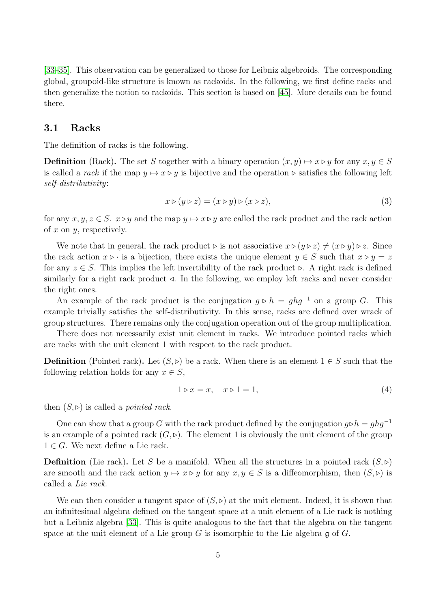[\[33](#page-29-1)[–35\]](#page-29-2). This observation can be generalized to those for Leibniz algebroids. The corresponding global, groupoid-like structure is known as rackoids. In the following, we first define racks and then generalize the notion to rackoids. This section is based on [\[45\]](#page-30-0). More details can be found there.

#### 3.1 Racks

The definition of racks is the following.

**Definition** (Rack). The set S together with a binary operation  $(x, y) \mapsto x \triangleright y$  for any  $x, y \in S$ is called a rack if the map  $y \mapsto x \triangleright y$  is bijective and the operation  $\triangleright$  satisfies the following left self-distributivity:

$$
x \triangleright (y \triangleright z) = (x \triangleright y) \triangleright (x \triangleright z), \tag{3}
$$

for any  $x, y, z \in S$ .  $x \triangleright y$  and the map  $y \mapsto x \triangleright y$  are called the rack product and the rack action of  $x$  on  $y$ , respectively.

We note that in general, the rack product ⊳ is not associative  $x \triangleright (y \triangleright z) \neq (x \triangleright y) \triangleright z$ . Since the rack action  $x \triangleright \cdot$  is a bijection, there exists the unique element  $y \in S$  such that  $x \triangleright y = z$ for any  $z \in S$ . This implies the left invertibility of the rack product ⊳. A right rack is defined similarly for a right rack product  $\triangleleft$ . In the following, we employ left racks and never consider the right ones.

An example of the rack product is the conjugation  $q \triangleright h = q h q^{-1}$  on a group G. This example trivially satisfies the self-distributivity. In this sense, racks are defined over wrack of group structures. There remains only the conjugation operation out of the group multiplication.

There does not necessarily exist unit element in racks. We introduce pointed racks which are racks with the unit element 1 with respect to the rack product.

**Definition** (Pointed rack). Let  $(S, \triangleright)$  be a rack. When there is an element  $1 \in S$  such that the following relation holds for any  $x \in S$ ,

$$
1 \triangleright x = x, \quad x \triangleright 1 = 1,\tag{4}
$$

then  $(S, \triangleright)$  is called a *pointed rack*.

One can show that a group G with the rack product defined by the conjugation  $q \triangleright h = q h q^{-1}$ is an example of a pointed rack  $(G, \triangleright)$ . The element 1 is obviously the unit element of the group  $1 \in G$ . We next define a Lie rack.

**Definition** (Lie rack). Let S be a manifold. When all the structures in a pointed rack  $(S, \triangleright)$ are smooth and the rack action  $y \mapsto x \triangleright y$  for any  $x, y \in S$  is a diffeomorphism, then  $(S, \triangleright)$  is called a Lie rack.

We can then consider a tangent space of  $(S, \triangleright)$  at the unit element. Indeed, it is shown that an infinitesimal algebra defined on the tangent space at a unit element of a Lie rack is nothing but a Leibniz algebra [\[33\]](#page-29-1). This is quite analogous to the fact that the algebra on the tangent space at the unit element of a Lie group  $G$  is isomorphic to the Lie algebra  $\mathfrak g$  of  $G$ .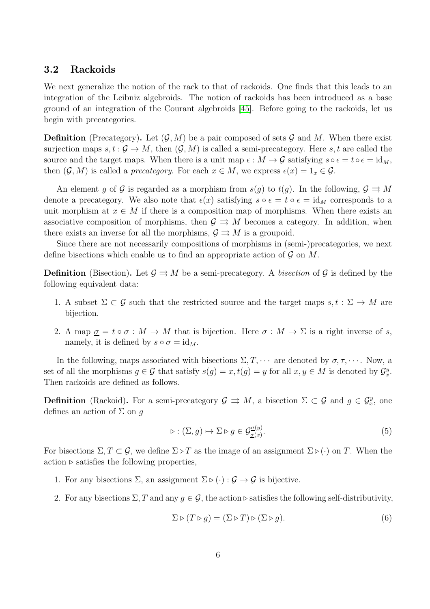### 3.2 Rackoids

We next generalize the notion of the rack to that of rackoids. One finds that this leads to an integration of the Leibniz algebroids. The notion of rackoids has been introduced as a base ground of an integration of the Courant algebroids [\[45\]](#page-30-0). Before going to the rackoids, let us begin with precategories.

**Definition** (Precategory). Let  $(G, M)$  be a pair composed of sets G and M. When there exist surjection maps  $s, t : \mathcal{G} \to M$ , then  $(\mathcal{G}, M)$  is called a semi-precategory. Here s, t are called the source and the target maps. When there is a unit map  $\epsilon : M \to \mathcal{G}$  satisfying  $s \circ \epsilon = t \circ \epsilon = id_M$ , then  $(\mathcal{G}, M)$  is called a *precategory*. For each  $x \in M$ , we express  $\epsilon(x) = 1_x \in \mathcal{G}$ .

An element g of G is regarded as a morphism from  $s(g)$  to  $t(g)$ . In the following,  $\mathcal{G} \rightrightarrows M$ denote a precategory. We also note that  $\epsilon(x)$  satisfying  $s \circ \epsilon = t \circ \epsilon = id_M$  corresponds to a unit morphism at  $x \in M$  if there is a composition map of morphisms. When there exists an associative composition of morphisms, then  $\mathcal{G} \rightrightarrows M$  becomes a category. In addition, when there exists an inverse for all the morphisms,  $\mathcal{G} \rightrightarrows M$  is a groupoid.

Since there are not necessarily compositions of morphisms in (semi-)precategories, we next define bisections which enable us to find an appropriate action of  $\mathcal G$  on M.

**Definition** (Bisection). Let  $\mathcal{G} \rightrightarrows M$  be a semi-precategory. A bisection of  $\mathcal{G}$  is defined by the following equivalent data:

- 1. A subset  $\Sigma \subset \mathcal{G}$  such that the restricted source and the target maps  $s, t : \Sigma \to M$  are bijection.
- 2. A map  $\sigma = t \circ \sigma : M \to M$  that is bijection. Here  $\sigma : M \to \Sigma$  is a right inverse of s, namely, it is defined by  $s \circ \sigma = id_M$ .

In the following, maps associated with bisections  $\Sigma, T, \cdots$  are denoted by  $\sigma, \tau, \cdots$ . Now, a set of all the morphisms  $g \in \mathcal{G}$  that satisfy  $s(g) = x, t(g) = y$  for all  $x, y \in M$  is denoted by  $\mathcal{G}_{x}^{y}$ . Then rackoids are defined as follows.

**Definition** (Rackoid). For a semi-precategory  $\mathcal{G} \rightrightarrows M$ , a bisection  $\Sigma \subset \mathcal{G}$  and  $g \in \mathcal{G}_x^y$ , one defines an action of  $\Sigma$  on q

$$
\triangleright : (\Sigma, g) \mapsto \Sigma \triangleright g \in \mathcal{G}_{\underline{\sigma}(x)}^{\underline{\sigma}(y)}.
$$
\n
$$
(5)
$$

For bisections  $\Sigma, T \subset \mathcal{G}$ , we define  $\Sigma \triangleright T$  as the image of an assignment  $\Sigma \triangleright (\cdot)$  on T. When the  $\alpha$  action  $\triangleright$  satisfies the following properties,

- 1. For any bisections  $\Sigma$ , an assignment  $\Sigma \triangleright (\cdot) : \mathcal{G} \to \mathcal{G}$  is bijective.
- 2. For any bisections  $\Sigma$ , T and any  $g \in \mathcal{G}$ , the action ⊳ satisfies the following self-distributivity,

$$
\Sigma \triangleright (T \triangleright g) = (\Sigma \triangleright T) \triangleright (\Sigma \triangleright g). \tag{6}
$$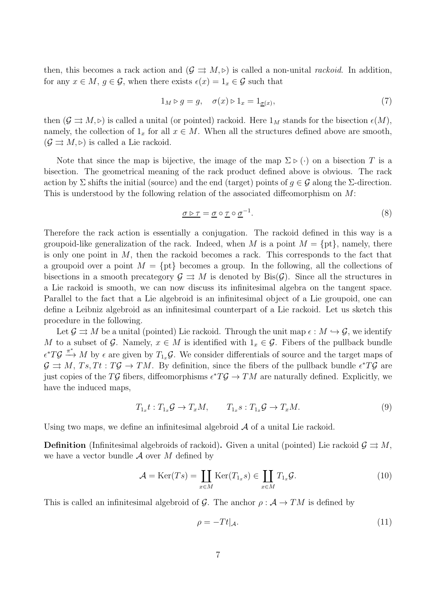then, this becomes a rack action and  $(G \rightrightarrows M, \triangleright)$  is called a non-unital *rackoid*. In addition, for any  $x \in M$ ,  $g \in \mathcal{G}$ , when there exists  $\epsilon(x) = 1_x \in \mathcal{G}$  such that

$$
1_M \triangleright g = g, \quad \sigma(x) \triangleright 1_x = 1_{\underline{\sigma}(x)}, \tag{7}
$$

then  $(G \rightrightarrows M, \triangleright)$  is called a unital (or pointed) rackoid. Here  $1_M$  stands for the bisection  $\epsilon(M)$ , namely, the collection of  $1_x$  for all  $x \in M$ . When all the structures defined above are smooth,  $(\mathcal{G} \rightrightarrows M, \triangleright)$  is called a Lie rackoid.

Note that since the map is bijective, the image of the map  $\Sigma \triangleright (\cdot)$  on a bisection T is a bisection. The geometrical meaning of the rack product defined above is obvious. The rack action by  $\Sigma$  shifts the initial (source) and the end (target) points of  $g \in \mathcal{G}$  along the  $\Sigma$ -direction. This is understood by the following relation of the associated diffeomorphism on M:

$$
\underline{\sigma \triangleright \tau} = \underline{\sigma} \circ \underline{\tau} \circ \underline{\sigma}^{-1}.\tag{8}
$$

Therefore the rack action is essentially a conjugation. The rackoid defined in this way is a groupoid-like generalization of the rack. Indeed, when M is a point  $M = \{pt\}$ , namely, there is only one point in M, then the rackoid becomes a rack. This corresponds to the fact that a groupoid over a point  $M = \{pt\}$  becomes a group. In the following, all the collections of bisections in a smooth precategory  $\mathcal{G} \rightrightarrows M$  is denoted by Bis( $\mathcal{G}$ ). Since all the structures in a Lie rackoid is smooth, we can now discuss its infinitesimal algebra on the tangent space. Parallel to the fact that a Lie algebroid is an infinitesimal object of a Lie groupoid, one can define a Leibniz algebroid as an infinitesimal counterpart of a Lie rackoid. Let us sketch this procedure in the following.

Let  $\mathcal{G} \rightrightarrows M$  be a unital (pointed) Lie rackoid. Through the unit map  $\epsilon : M \hookrightarrow \mathcal{G}$ , we identify M to a subset of G. Namely,  $x \in M$  is identified with  $1_x \in G$ . Fibers of the pullback bundle  $\epsilon^* T \mathcal{G} \stackrel{\pi^*}{\longrightarrow} M$  by  $\epsilon$  are given by  $T_{1_x} \mathcal{G}$ . We consider differentials of source and the target maps of  $\mathcal{G} \rightrightarrows M$ ,  $Ts, Tt : T\mathcal{G} \to TM$ . By definition, since the fibers of the pullback bundle  $\epsilon^* T\mathcal{G}$  are just copies of the TG fibers, diffeomorphisms  $\epsilon^* T \mathcal{G} \to T M$  are naturally defined. Explicitly, we have the induced maps,

$$
T_{1x}t: T_{1x}\mathcal{G} \to T_xM, \qquad T_{1x}s: T_{1x}\mathcal{G} \to T_xM. \tag{9}
$$

Using two maps, we define an infinitesimal algebroid  $A$  of a unital Lie rackoid.

**Definition** (Infinitesimal algebroids of rackoid). Given a unital (pointed) Lie rackoid  $\mathcal{G} \rightrightarrows M$ , we have a vector bundle  $A$  over  $M$  defined by

$$
\mathcal{A} = \text{Ker}(Ts) = \coprod_{x \in M} \text{Ker}(T_{1_x}s) \in \coprod_{x \in M} T_{1_x}\mathcal{G}.
$$
 (10)

This is called an infinitesimal algebroid of G. The anchor  $\rho : A \to TM$  is defined by

$$
\rho = -Tt|_{\mathcal{A}}.\tag{11}
$$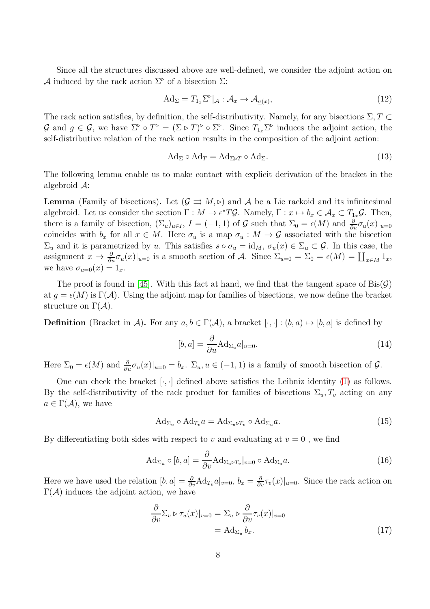Since all the structures discussed above are well-defined, we consider the adjoint action on A induced by the rack action  $\Sigma^{\triangleright}$  of a bisection  $\Sigma$ :

$$
\mathrm{Ad}_{\Sigma} = T_{1_x} \Sigma^{\triangleright} |_{\mathcal{A}} : \mathcal{A}_x \to \mathcal{A}_{\underline{\sigma}(x)},\tag{12}
$$

The rack action satisfies, by definition, the self-distributivity. Namely, for any bisections  $\Sigma, T \subset$  $\mathcal{G}$  and  $g \in \mathcal{G}$ , we have  $\Sigma^{\triangleright} \circ T^{\triangleright} = (\Sigma \triangleright T)^{\triangleright} \circ \Sigma^{\triangleright}$ . Since  $T_{1_x} \Sigma^{\triangleright}$  induces the adjoint action, the self-distributive relation of the rack action results in the composition of the adjoint action:

<span id="page-8-1"></span>
$$
Ad_{\Sigma} \circ Ad_T = Ad_{\Sigma \triangleright T} \circ Ad_{\Sigma}. \tag{13}
$$

The following lemma enable us to make contact with explicit derivation of the bracket in the algebroid A:

**Lemma** (Family of bisections). Let  $(G \rightrightarrows M, \triangleright)$  and A be a Lie rackoid and its infinitesimal algebroid. Let us consider the section  $\Gamma : M \to \epsilon^* T \mathcal{G}$ . Namely,  $\Gamma : x \mapsto b_x \in \mathcal{A}_x \subset T_{1x} \mathcal{G}$ . Then, there is a family of bisection,  $(\Sigma_u)_{u \in I}$ ,  $I = (-1,1)$  of G such that  $\Sigma_0 = \epsilon(M)$  and  $\frac{\partial}{\partial u} \sigma_u(x)|_{u=0}$ coincides with  $b_x$  for all  $x \in M$ . Here  $\sigma_u$  is a map  $\sigma_u : M \to \mathcal{G}$  associated with the bisection  $\Sigma_u$  and it is parametrized by u. This satisfies  $s \circ \sigma_u = id_M$ ,  $\sigma_u(x) \in \Sigma_u \subset \mathcal{G}$ . In this case, the assignment  $x \mapsto \frac{\partial}{\partial u} \sigma_u(x)|_{u=0}$  is a smooth section of A. Since  $\Sigma_{u=0} = \Sigma_0 = \epsilon(M) = \coprod_{x \in M} 1_x$ , we have  $\sigma_{u=0}(x) = 1_x$ .

The proof is found in [\[45\]](#page-30-0). With this fact at hand, we find that the tangent space of  $\text{Bis}(\mathcal{G})$ at  $q = \epsilon(M)$  is  $\Gamma(\mathcal{A})$ . Using the adjoint map for families of bisections, we now define the bracket structure on  $\Gamma(\mathcal{A})$ .

**Definition** (Bracket in A). For any  $a, b \in \Gamma(\mathcal{A})$ , a bracket  $[\cdot, \cdot] : (b, a) \mapsto [b, a]$  is defined by

$$
[b, a] = \frac{\partial}{\partial u} \text{Ad}_{\Sigma_u} a|_{u=0}.
$$
\n(14)

Here  $\Sigma_0 = \epsilon(M)$  and  $\frac{\partial}{\partial u} \sigma_u(x)|_{u=0} = b_x$ .  $\Sigma_u, u \in (-1, 1)$  is a family of smooth bisection of  $\mathcal{G}$ .

One can check the bracket  $[\cdot, \cdot]$  defined above satisfies the Leibniz identity [\(1\)](#page-3-0) as follows. By the self-distributivity of the rack product for families of bisections  $\Sigma_u, T_v$  acting on any  $a \in \Gamma(\mathcal{A})$ , we have

<span id="page-8-0"></span>
$$
\mathrm{Ad}_{\Sigma_u} \circ \mathrm{Ad}_{T_v} a = \mathrm{Ad}_{\Sigma_u \triangleright T_v} \circ \mathrm{Ad}_{\Sigma_u} a. \tag{15}
$$

By differentiating both sides with respect to v and evaluating at  $v = 0$ , we find

$$
\mathrm{Ad}_{\Sigma_u} \circ [b, a] = \frac{\partial}{\partial v} \mathrm{Ad}_{\Sigma_u \triangleright T_v}|_{v=0} \circ \mathrm{Ad}_{\Sigma_u} a. \tag{16}
$$

Here we have used the relation  $[b, a] = \frac{\partial}{\partial v} \text{Ad}_{T_v} a|_{v=0}, b_x = \frac{\partial}{\partial v} \tau_v(x)|_{u=0}$ . Since the rack action on  $\Gamma(\mathcal{A})$  induces the adjoint action, we have

$$
\frac{\partial}{\partial v} \Sigma_v \triangleright \tau_u(x)|_{v=0} = \Sigma_u \triangleright \frac{\partial}{\partial v} \tau_v(x)|_{v=0}
$$
\n
$$
= \mathrm{Ad}_{\Sigma_u} b_x. \tag{17}
$$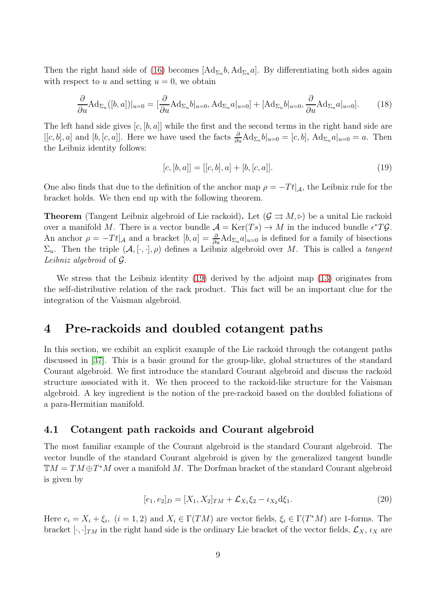Then the right hand side of [\(16\)](#page-8-0) becomes  $[Ad_{\Sigma_u}b, Ad_{\Sigma_u}a]$ . By differentiating both sides again with respect to u and setting  $u = 0$ , we obtain

$$
\frac{\partial}{\partial u}\text{Ad}_{\Sigma_u}([b,a])|_{u=0} = \left[\frac{\partial}{\partial u}\text{Ad}_{\Sigma_u}b|_{u=0}, \text{Ad}_{\Sigma_u}a|_{u=0}\right] + \left[\text{Ad}_{\Sigma_u}b|_{u=0}, \frac{\partial}{\partial u}\text{Ad}_{\Sigma_u}a|_{u=0}\right].\tag{18}
$$

The left hand side gives  $[c, [b, a]]$  while the first and the second terms in the right hand side are [[c, b], a] and [b, [c, a]]. Here we have used the facts  $\frac{\partial}{\partial u} \text{Ad}_{\Sigma_v} b|_{u=0} = [c, b]$ ,  $\text{Ad}_{\Sigma_u} a|_{u=0} = a$ . Then the Leibniz identity follows:

<span id="page-9-1"></span>
$$
[c, [b, a]] = [[c, b], a] + [b, [c, a]]. \tag{19}
$$

One also finds that due to the definition of the anchor map  $\rho = -Tt|_{\mathcal{A}}$ , the Leibniz rule for the bracket holds. We then end up with the following theorem.

**Theorem** (Tangent Leibniz algebroid of Lie rackoid). Let  $(G \rightrightarrows M, \triangleright)$  be a unital Lie rackoid over a manifold M. There is a vector bundle  $A = \text{Ker}(Ts) \to M$  in the induced bundle  $\epsilon^* T \mathcal{G}$ . An anchor  $\rho = -Tt|_{\mathcal{A}}$  and a bracket  $[b, a] = \frac{\partial}{\partial u} \text{Ad}_{\Sigma_u} a|_{u=0}$  is defined for a family of bisections  $\Sigma_u$ . Then the triple  $(\mathcal{A}, [\cdot, \cdot], \rho)$  defines a Leibniz algebroid over M. This is called a tangent Leibniz algebroid of G.

We stress that the Leibniz identity [\(19\)](#page-9-1) derived by the adjoint map [\(13\)](#page-8-1) originates from the self-distributive relation of the rack product. This fact will be an important clue for the integration of the Vaisman algebroid.

### <span id="page-9-0"></span>4 Pre-rackoids and doubled cotangent paths

In this section, we exhibit an explicit example of the Lie rackoid through the cotangent paths discussed in [\[37\]](#page-29-4). This is a basic ground for the group-like, global structures of the standard Courant algebroid. We first introduce the standard Courant algebroid and discuss the rackoid structure associated with it. We then proceed to the rackoid-like structure for the Vaisman algebroid. A key ingredient is the notion of the pre-rackoid based on the doubled foliations of a para-Hermitian manifold.

### 4.1 Cotangent path rackoids and Courant algebroid

The most familiar example of the Courant algebroid is the standard Courant algebroid. The vector bundle of the standard Courant algebroid is given by the generalized tangent bundle  $\mathbb{T}M = TM \oplus T^*M$  over a manifold M. The Dorfman bracket of the standard Courant algebroid is given by

<span id="page-9-2"></span>
$$
[e_1, e_2]_D = [X_1, X_2]_{TM} + \mathcal{L}_{X_1} \xi_2 - \iota_{X_2} d\xi_1.
$$
\n(20)

Here  $e_i = X_i + \xi_i$ ,  $(i = 1, 2)$  and  $X_i \in \Gamma(TM)$  are vector fields,  $\xi_i \in \Gamma(T^*M)$  are 1-forms. The bracket  $[\cdot, \cdot]_{TM}$  in the right hand side is the ordinary Lie bracket of the vector fields,  $\mathcal{L}_X$ ,  $\iota_X$  are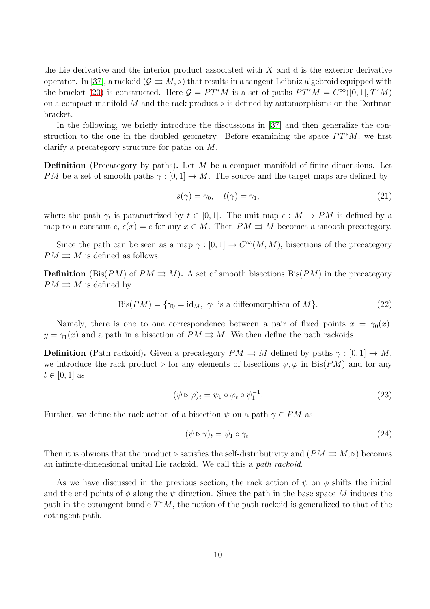the Lie derivative and the interior product associated with  $X$  and  $\bar{d}$  is the exterior derivative operator. In [\[37\]](#page-29-4), a rackoid  $(G \rightrightarrows M, \triangleright)$  that results in a tangent Leibniz algebroid equipped with the bracket [\(20\)](#page-9-2) is constructed. Here  $G = PT^*M$  is a set of paths  $PT^*M = C^{\infty}([0,1], T^*M)$ on a compact manifold M and the rack product ⊳ is defined by automorphisms on the Dorfman bracket.

In the following, we briefly introduce the discussions in [\[37\]](#page-29-4) and then generalize the construction to the one in the doubled geometry. Before examining the space  $PT^*M$ , we first clarify a precategory structure for paths on M.

**Definition** (Precategory by paths). Let  $M$  be a compact manifold of finite dimensions. Let PM be a set of smooth paths  $\gamma : [0,1] \to M$ . The source and the target maps are defined by

$$
s(\gamma) = \gamma_0, \quad t(\gamma) = \gamma_1,\tag{21}
$$

where the path  $\gamma_t$  is parametrized by  $t \in [0,1]$ . The unit map  $\epsilon : M \to PM$  is defined by a map to a constant c,  $\epsilon(x) = c$  for any  $x \in M$ . Then  $PM \rightrightarrows M$  becomes a smooth precategory.

Since the path can be seen as a map  $\gamma : [0,1] \to C^{\infty}(M,M)$ , bisections of the precategory  $PM \rightrightarrows M$  is defined as follows.

**Definition** (Bis(PM) of  $PM \rightrightarrows M$ ). A set of smooth bisections Bis(PM) in the precategory  $PM \rightrightarrows M$  is defined by

$$
Bis(PM) = \{ \gamma_0 = id_M, \ \gamma_1 \text{ is a diffeomorphism of } M \}. \tag{22}
$$

Namely, there is one to one correspondence between a pair of fixed points  $x = \gamma_0(x)$ ,  $y = \gamma_1(x)$  and a path in a bisection of  $PM \rightrightarrows M$ . We then define the path rackoids.

**Definition** (Path rackoid). Given a precategory  $PM \rightrightarrows M$  defined by paths  $\gamma : [0, 1] \rightarrow M$ , we introduce the rack product ⊳ for any elements of bisections  $\psi, \varphi$  in Bis(PM) and for any  $t \in [0,1]$  as

$$
(\psi \triangleright \varphi)_t = \psi_1 \circ \varphi_t \circ \psi_1^{-1}.
$$
\n(23)

Further, we define the rack action of a bisection  $\psi$  on a path  $\gamma \in PM$  as

$$
(\psi \triangleright \gamma)_t = \psi_1 \circ \gamma_t. \tag{24}
$$

Then it is obvious that the product ⊳ satisfies the self-distributivity and  $(PM \rightrightarrows M, \triangleright)$  becomes an infinite-dimensional unital Lie rackoid. We call this a path rackoid.

As we have discussed in the previous section, the rack action of  $\psi$  on  $\phi$  shifts the initial and the end points of  $\phi$  along the  $\psi$  direction. Since the path in the base space M induces the path in the cotangent bundle  $T^*M$ , the notion of the path rackoid is generalized to that of the cotangent path.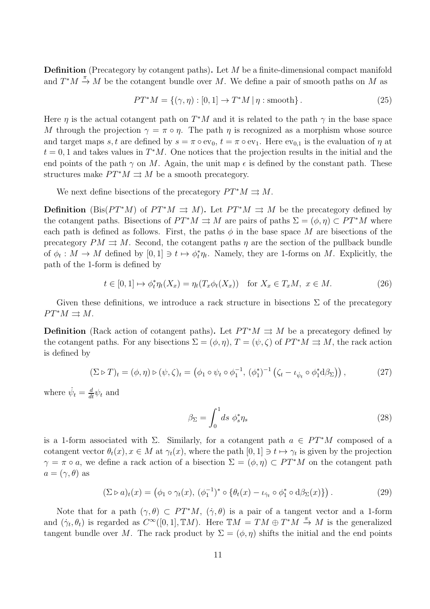**Definition** (Precategory by cotangent paths). Let  $M$  be a finite-dimensional compact manifold and  $T^*M \stackrel{\pi}{\rightarrow} M$  be the cotangent bundle over M. We define a pair of smooth paths on M as

$$
PT^*M = \{ (\gamma, \eta) : [0, 1] \to T^*M \, | \, \eta : \text{smooth} \}. \tag{25}
$$

Here  $\eta$  is the actual cotangent path on  $T^*M$  and it is related to the path  $\gamma$  in the base space M through the projection  $\gamma = \pi \circ \eta$ . The path  $\eta$  is recognized as a morphism whose source and target maps s, t are defined by  $s = \pi \circ \text{ev}_0$ ,  $t = \pi \circ \text{ev}_1$ . Here  $\text{ev}_{0,1}$  is the evaluation of  $\eta$  at  $t = 0, 1$  and takes values in  $T^*M$ . One notices that the projection results in the initial and the end points of the path  $\gamma$  on M. Again, the unit map  $\epsilon$  is defined by the constant path. These structures make  $PT^*M \rightrightarrows M$  be a smooth precategory.

We next define bisections of the precategory  $PT^*M \rightrightarrows M$ .

**Definition** (Bis( $PT^*M$ ) of  $PT^*M \Rightarrow M$ ). Let  $PT^*M \Rightarrow M$  be the precategory defined by the cotangent paths. Bisections of  $PT^*M \rightrightarrows M$  are pairs of paths  $\Sigma = (\phi, \eta) \subset PT^*M$  where each path is defined as follows. First, the paths  $\phi$  in the base space M are bisections of the precategory  $PM \rightrightarrows M$ . Second, the cotangent paths  $\eta$  are the section of the pullback bundle of  $\phi_t : M \to M$  defined by  $[0,1] \ni t \mapsto \phi_t^*$  $t^*_{t}\eta_t$ . Namely, they are 1-forms on M. Explicitly, the path of the 1-form is defined by

$$
t \in [0,1] \mapsto \phi_t^* \eta_t(X_x) = \eta_t(T_x \phi_t(X_x)) \quad \text{for } X_x \in T_xM, \ x \in M. \tag{26}
$$

Given these definitions, we introduce a rack structure in bisections  $\Sigma$  of the precategory  $PT^*M \rightrightarrows M$ .

**Definition** (Rack action of cotangent paths). Let  $PT^*M \Rightarrow M$  be a precategory defined by the cotangent paths. For any bisections  $\Sigma = (\phi, \eta), T = (\psi, \zeta)$  of  $PT^*M \rightrightarrows M$ , the rack action is defined by

$$
(\Sigma \triangleright T)_t = (\phi, \eta) \triangleright (\psi, \zeta)_t = (\phi_1 \circ \psi_t \circ \phi_1^{-1}, (\phi_1^*)^{-1} (\zeta_t - \iota_{\psi_t} \circ \phi_1^* \mathrm{d} \beta_{\Sigma})), \tag{27}
$$

where  $\dot{\psi}_t = \frac{d}{dt}\psi_t$  and

<span id="page-11-1"></span><span id="page-11-0"></span>
$$
\beta_{\Sigma} = \int_0^1 ds \; \phi_s^* \eta_s \tag{28}
$$

is a 1-form associated with  $\Sigma$ . Similarly, for a cotangent path  $a \in PT^*M$  composed of a cotangent vector  $\theta_t(x), x \in M$  at  $\gamma_t(x)$ , where the path  $[0,1] \ni t \mapsto \gamma_t$  is given by the projection  $\gamma = \pi \circ a$ , we define a rack action of a bisection  $\Sigma = (\phi, \eta) \subset PT^*M$  on the cotangent path  $a = (\gamma, \theta)$  as

$$
(\Sigma \triangleright a)_t(x) = \left(\phi_1 \circ \gamma_t(x), \, (\phi_1^{-1})^* \circ \{\theta_t(x) - \iota_{\dot{\gamma}_t} \circ \phi_1^* \circ d\beta_{\Sigma}(x)\}\right). \tag{29}
$$

Note that for a path  $(\gamma, \theta) \subset PT^*M$ ,  $(\dot{\gamma}, \theta)$  is a pair of a tangent vector and a 1-form and  $(\dot{\gamma}_t, \theta_t)$  is regarded as  $C^{\infty}([0,1], \mathbb{T}M)$ . Here  $\mathbb{T}M = TM \oplus T^*M \stackrel{\pi}{\to} M$  is the generalized tangent bundle over M. The rack product by  $\Sigma = (\phi, \eta)$  shifts the initial and the end points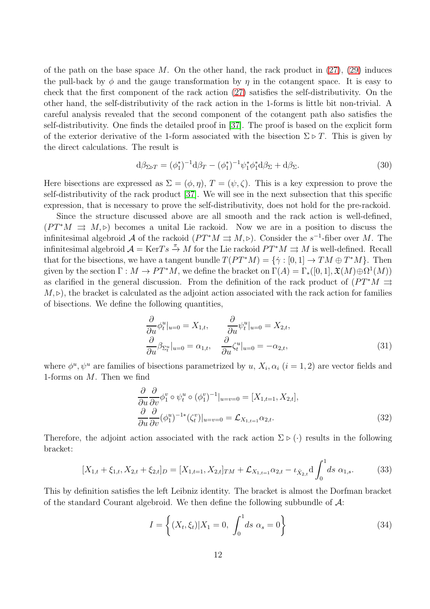of the path on the base space  $M$ . On the other hand, the rack product in  $(27)$ ,  $(29)$  induces the pull-back by  $\phi$  and the gauge transformation by  $\eta$  in the cotangent space. It is easy to check that the first component of the rack action [\(27\)](#page-11-0) satisfies the self-distributivity. On the other hand, the self-distributivity of the rack action in the 1-forms is little bit non-trivial. A careful analysis revealed that the second component of the cotangent path also satisfies the self-distributivity. One finds the detailed proof in [\[37\]](#page-29-4). The proof is based on the explicit form of the exterior derivative of the 1-form associated with the bisection  $\Sigma \triangleright T$ . This is given by the direct calculations. The result is

<span id="page-12-0"></span>
$$
d\beta_{\Sigma \triangleright T} = (\phi_1^*)^{-1} d\beta_T - (\phi_1^*)^{-1} \psi_1^* \phi_1^* d\beta_{\Sigma} + d\beta_{\Sigma}.
$$
\n(30)

Here bisections are expressed as  $\Sigma = (\phi, \eta), T = (\psi, \zeta)$ . This is a key expression to prove the self-distributivity of the rack product [\[37\]](#page-29-4). We will see in the next subsection that this specific expression, that is necessary to prove the self-distributivity, does not hold for the pre-rackoid.

Since the structure discussed above are all smooth and the rack action is well-defined,  $(PT^*M \Rightarrow M, \triangleright)$  becomes a unital Lie rackoid. Now we are in a position to discuss the infinitesimal algebroid A of the rackoid  $(PT^*M \rightrightarrows M, \triangleright)$ . Consider the s<sup>-1</sup>-fiber over M. The infinitesimal algebroid  $\mathcal{A} = \text{Ker} T s \stackrel{\pi}{\rightarrow} M$  for the Lie rackoid  $PT^*M \rightrightarrows M$  is well-defined. Recall that for the bisections, we have a tangent bundle  $T(PT^*M) = {\gamma : [0, 1] \rightarrow TM \oplus T^*M}.$  Then given by the section  $\Gamma : M \to PT^*M$ , we define the bracket on  $\Gamma(A) = \Gamma_*([0,1], \mathfrak{X}(M) \oplus \Omega^1(M))$ as clarified in the general discussion. From the definition of the rack product of  $(PT^*M \rightrightarrows$  $M, \triangleright$ , the bracket is calculated as the adjoint action associated with the rack action for families of bisections. We define the following quantities,

<span id="page-12-1"></span>
$$
\frac{\partial}{\partial u}\phi_t^u|_{u=0} = X_{1,t}, \qquad \frac{\partial}{\partial u}\psi_t^u|_{u=0} = X_{2,t},
$$
  

$$
\frac{\partial}{\partial u}\beta_{\Sigma_t^u}|_{u=0} = \alpha_{1,t}, \qquad \frac{\partial}{\partial u}\zeta_t^u|_{u=0} = -\alpha_{2,t},
$$
(31)

where  $\phi^u, \psi^u$  are families of bisections parametrized by u,  $X_i, \alpha_i$   $(i = 1, 2)$  are vector fields and 1-forms on M. Then we find

$$
\frac{\partial}{\partial u}\frac{\partial}{\partial v}\phi_1^v \circ \psi_t^u \circ (\phi_1^v)^{-1}|_{u=v=0} = [X_{1,t=1}, X_{2,t}],
$$
  

$$
\frac{\partial}{\partial u}\frac{\partial}{\partial v}(\phi_1^u)^{-1*} (\zeta_t^v)|_{u=v=0} = \mathcal{L}_{X_{1,t=1}} \alpha_{2,t}.
$$
 (32)

Therefore, the adjoint action associated with the rack action  $\Sigma \triangleright (\cdot)$  results in the following bracket:

$$
[X_{1,t} + \xi_{1,t}, X_{2,t} + \xi_{2,t}]_D = [X_{1,t=1}, X_{2,t}]_{TM} + \mathcal{L}_{X_{1,t=1}} \alpha_{2,t} - \iota_{X_{2,t}} d \int_0^1 ds \; \alpha_{1,s}.
$$
 (33)

This by definition satisfies the left Leibniz identity. The bracket is almost the Dorfman bracket of the standard Courant algebroid. We then define the following subbundle of  $\mathcal{A}$ :

$$
I = \left\{ (X_t, \xi_t) | X_1 = 0, \int_0^1 ds \; \alpha_s = 0 \right\}
$$
 (34)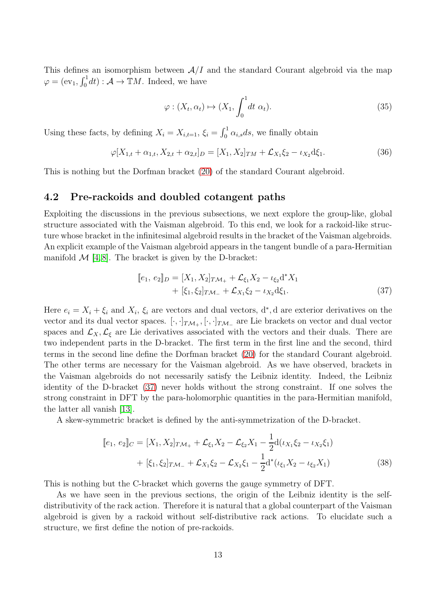This defines an isomorphism between  $A/I$  and the standard Courant algebroid via the map  $\varphi = (ev_1, \int_0^1 dt) : \mathcal{A} \to \mathbb{T}M$ . Indeed, we have

$$
\varphi: (X_t, \alpha_t) \mapsto (X_1, \int_0^1 dt \; \alpha_t). \tag{35}
$$

Using these facts, by defining  $X_i = X_{i,t=1}$ ,  $\xi_i = \int_0^1 \alpha_{i,s} ds$ , we finally obtain

$$
\varphi[X_{1,t} + \alpha_{1,t}, X_{2,t} + \alpha_{2,t}]_D = [X_1, X_2]_{TM} + \mathcal{L}_{X_1} \xi_2 - \iota_{X_2} \mathrm{d}\xi_1. \tag{36}
$$

This is nothing but the Dorfman bracket [\(20\)](#page-9-2) of the standard Courant algebroid.

#### 4.2 Pre-rackoids and doubled cotangent paths

Exploiting the discussions in the previous subsections, we next explore the group-like, global structure associated with the Vaisman algebroid. To this end, we look for a rackoid-like structure whose bracket in the infinitesimal algebroid results in the bracket of the Vaisman algebroids. An explicit example of the Vaisman algebroid appears in the tangent bundle of a para-Hermitian manifold  $\mathcal{M}$  [\[4,](#page-27-3)8]. The bracket is given by the D-bracket:

<span id="page-13-0"></span>
$$
[e_1, e_2]_D = [X_1, X_2]_{TM_+} + \mathcal{L}_{\xi_1} X_2 - \iota_{\xi_2} d^* X_1 + [\xi_1, \xi_2]_{TM_-} + \mathcal{L}_{X_1} \xi_2 - \iota_{X_2} d\xi_1.
$$
 (37)

Here  $e_i = X_i + \xi_i$  and  $X_i$ ,  $\xi_i$  are vectors and dual vectors,  $d^*$ , d are exterior derivatives on the vector and its dual vector spaces.  $[\cdot, \cdot]_{T\mathcal{M}_+}, [\cdot, \cdot]_{T\mathcal{M}_-}$  are Lie brackets on vector and dual vector spaces and  $\mathcal{L}_X, \mathcal{L}_\xi$  are Lie derivatives associated with the vectors and their duals. There are two independent parts in the D-bracket. The first term in the first line and the second, third terms in the second line define the Dorfman bracket [\(20\)](#page-9-2) for the standard Courant algebroid. The other terms are necessary for the Vaisman algebroid. As we have observed, brackets in the Vaisman algebroids do not necessarily satisfy the Leibniz identity. Indeed, the Leibniz identity of the D-bracket [\(37\)](#page-13-0) never holds without the strong constraint. If one solves the strong constraint in DFT by the para-holomorphic quantities in the para-Hermitian manifold, the latter all vanish [\[13\]](#page-27-10).

A skew-symmetric bracket is defined by the anti-symmetrization of the D-bracket.

$$
[e_1, e_2]_C = [X_1, X_2]_{T\mathcal{M}_+} + \mathcal{L}_{\xi_1} X_2 - \mathcal{L}_{\xi_2} X_1 - \frac{1}{2} d(\iota_{X_1} \xi_2 - \iota_{X_2} \xi_1) + [\xi_1, \xi_2]_{T\mathcal{M}_-} + \mathcal{L}_{X_1} \xi_2 - \mathcal{L}_{X_2} \xi_1 - \frac{1}{2} d^*(\iota_{\xi_1} X_2 - \iota_{\xi_2} X_1)
$$
(38)

This is nothing but the C-bracket which governs the gauge symmetry of DFT.

As we have seen in the previous sections, the origin of the Leibniz identity is the selfdistributivity of the rack action. Therefore it is natural that a global counterpart of the Vaisman algebroid is given by a rackoid without self-distributive rack actions. To elucidate such a structure, we first define the notion of pre-rackoids.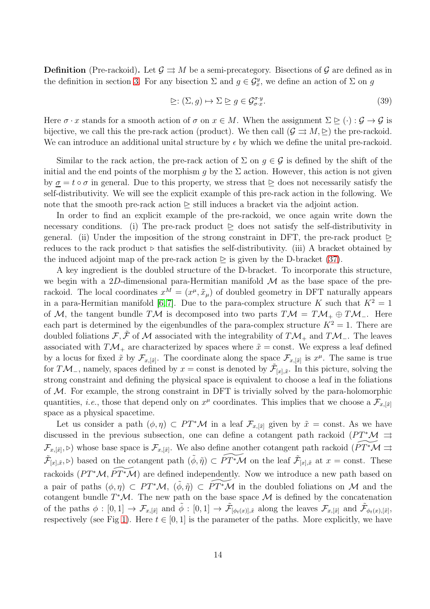**Definition** (Pre-rackoid). Let  $\mathcal{G} \rightrightarrows M$  be a semi-precategory. Bisections of  $\mathcal{G}$  are defined as in the definition in section [3.](#page-4-0) For any bisection  $\Sigma$  and  $g \in \mathcal{G}_x^y$ , we define an action of  $\Sigma$  on g

$$
\trianglerighteq: (\Sigma, g) \mapsto \Sigma \trianglerighteq g \in \mathcal{G}_{\sigma}^{\sigma y}.
$$
\n(39)

Here  $\sigma \cdot x$  stands for a smooth action of  $\sigma$  on  $x \in M$ . When the assignment  $\Sigma \trianglerighteq (\cdot) : \mathcal{G} \to \mathcal{G}$  is bijective, we call this the pre-rack action (product). We then call  $(G \rightrightarrows M, \rhd)$  the pre-rackoid. We can introduce an additional unital structure by  $\epsilon$  by which we define the unital pre-rackoid.

Similar to the rack action, the pre-rack action of  $\Sigma$  on  $g \in \mathcal{G}$  is defined by the shift of the initial and the end points of the morphism g by the  $\Sigma$  action. However, this action is not given by  $\sigma = t \circ \sigma$  in general. Due to this property, we stress that  $\geq$  does not necessarily satisfy the self-distributivity. We will see the explicit example of this pre-rack action in the following. We note that the smooth pre-rack action  $\triangleright$  still induces a bracket via the adjoint action.

In order to find an explicit example of the pre-rackoid, we once again write down the necessary conditions. (i) The pre-rack product  $\triangleright$  does not satisfy the self-distributivity in general. (ii) Under the imposition of the strong constraint in DFT, the pre-rack product  $\triangleright$ reduces to the rack product  $\triangleright$  that satisfies the self-distributivity. (iii) A bracket obtained by the induced adjoint map of the pre-rack action  $\triangleright$  is given by the D-bracket [\(37\)](#page-13-0).

A key ingredient is the doubled structure of the D-bracket. To incorporate this structure, we begin with a 2D-dimensional para-Hermitian manifold  $\mathcal M$  as the base space of the prerackoid. The local coordinates  $x^M = (x^{\mu}, \tilde{x}_{\mu})$  of doubled geometry in DFT naturally appears in a para-Hermitian manifold [\[6,](#page-27-12) [7\]](#page-27-4). Due to the para-complex structure K such that  $K^2 = 1$ of M, the tangent bundle TM is decomposed into two parts  $T\mathcal{M} = T\mathcal{M}_+ \oplus T\mathcal{M}_-$ . Here each part is determined by the eigenbundles of the para-complex structure  $K^2 = 1$ . There are doubled foliations  $\mathcal{F}, \tilde{\mathcal{F}}$  of M associated with the integrability of  $T\mathcal{M}_+$  and  $T\mathcal{M}_-$ . The leaves associated with  $T\mathcal{M}_+$  are characterized by spaces where  $\tilde{x} = \text{const.}$  We express a leaf defined by a locus for fixed  $\tilde{x}$  by  $\mathcal{F}_{x,[\tilde{x}]}$ . The coordinate along the space  $\mathcal{F}_{x,[\tilde{x}]}$  is  $x^{\mu}$ . The same is true for TM<sub>-</sub>, namely, spaces defined by  $x =$  const is denoted by  $\tilde{\mathcal{F}}_{[x],\tilde{x}}$ . In this picture, solving the strong constraint and defining the physical space is equivalent to choose a leaf in the foliations of  $M$ . For example, the strong constraint in DFT is trivially solved by the para-holomorphic quantities, *i.e.*, those that depend only on  $x^{\mu}$  coordinates. This implies that we choose a  $\mathcal{F}_{x,[\tilde{x}]}$ space as a physical spacetime.

Let us consider a path  $(\phi, \eta) \subset PT^*\mathcal{M}$  in a leaf  $\mathcal{F}_{x,[\tilde{x}]}$  given by  $\tilde{x} = \text{const.}$  As we have discussed in the previous subsection, one can define a cotangent path rackoid ( $PT^*\mathcal{M} \rightrightarrows$  $\mathcal{F}_{x,[\tilde{x}]},\triangleright)$  whose base space is  $\mathcal{F}_{x,[\tilde{x}]}$ . We also define another cotangent path rackoid  $(\widetilde{PT^*M} \rightrightarrows$  $\widetilde{\mathcal{F}}_{[x],\tilde{x}},\triangleright)$  based on the cotangent path  $(\tilde{\phi},\tilde{\eta})\subset \widetilde{PT^*M}$  on the leaf  $\widetilde{\mathcal{F}}_{[x],\tilde{x}}$  at  $x = \text{const.}$  These rackoids  $(PT^*\mathcal{M}, PT^*\mathcal{M})$  are defined independently. Now we introduce a new path based on a pair of paths  $(\phi, \eta) \subset PT^*\mathcal{M}, (\tilde{\phi}, \tilde{\eta}) \subset PT^*\mathcal{M}$  in the doubled foliations on M and the cotangent bundle  $T^{\ast}{\cal M}$ . The new path on the base space  ${\cal M}$  is defined by the concatenation of the paths  $\phi : [0,1] \to \mathcal{F}_{x,[\tilde{x}]}$  and  $\tilde{\phi} : [0,1] \to \tilde{\mathcal{F}}_{[\phi_t(x)],\tilde{x}}$  along the leaves  $\mathcal{F}_{x,[\tilde{x}]}$  and  $\tilde{\mathcal{F}}_{\phi_t(x),[\tilde{x}]},$ respectively (see Fig [1\)](#page-15-0). Here  $t \in [0, 1]$  is the parameter of the paths. More explicitly, we have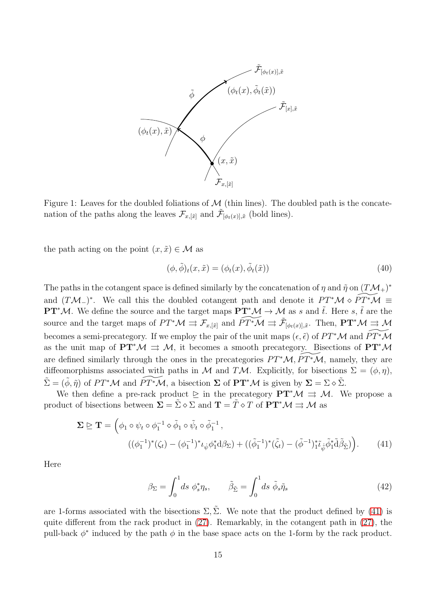

<span id="page-15-0"></span>Figure 1: Leaves for the doubled foliations of  $\mathcal M$  (thin lines). The doubled path is the concatenation of the paths along the leaves  $\mathcal{F}_{x,[\tilde{x}]}$  and  $\tilde{\mathcal{F}}_{[\phi_t(x)],\tilde{x}}$  (bold lines).

the path acting on the point  $(x, \tilde{x}) \in \mathcal{M}$  as

$$
(\phi, \tilde{\phi})_t(x, \tilde{x}) = (\phi_t(x), \tilde{\phi}_t(\tilde{x}))
$$
\n(40)

The paths in the cotangent space is defined similarly by the concatenation of  $\eta$  and  $\tilde{\eta}$  on  $(T\mathcal{M}_+)^*$ and  $(TM_{-})^*$ . We call this the doubled cotangent path and denote it  $PT^*\mathcal{M} \circ \widetilde{PT^*\mathcal{M}} \equiv$ **PT<sup>\*</sup>M.** We define the source and the target maps  $PT^*M \to M$  as s and  $\tilde{t}$ . Here s,  $\tilde{t}$  are the source and the target maps of  $PT^*\mathcal{M} \rightrightarrows \mathcal{F}_{x,[\tilde{x}]}$  and  $\widetilde{PT^*\mathcal{M}} \rightrightarrows \widetilde{\mathcal{F}}_{[\phi_t(x)],\tilde{x}}$ . Then,  $\mathbf{PT}^*\mathcal{M} \rightrightarrows \mathcal{M}$ becomes a semi-precategory. If we employ the pair of the unit maps  $(\epsilon, \tilde{\epsilon})$  of  $PT^*\mathcal{M}$  and  $PT^*\mathcal{M}$ as the unit map of  $PT^*\mathcal{M} \Rightarrow \mathcal{M}$ , it becomes a smooth precategory. Bisections of  $PT^*\mathcal{M}$ are defined similarly through the ones in the precategories  $PT^*M$ ,  $PT^*M$ , namely, they are diffeomorphisms associated with paths in M and TM. Explicitly, for bisections  $\Sigma = (\phi, \eta)$ ,  $\tilde{\Sigma} = (\tilde{\phi}, \tilde{\eta})$  of  $PT^*\mathcal{M}$  and  $\widetilde{PT^*\mathcal{M}}$ , a bisection  $\Sigma$  of  $PT^*\mathcal{M}$  is given by  $\Sigma = \Sigma \diamond \tilde{\Sigma}$ .

We then define a pre-rack product  $\geq$  in the precategory  $PT^*\mathcal{M} \Rightarrow \mathcal{M}$ . We propose a product of bisections between  $\Sigma = \tilde{\Sigma} \diamond \Sigma$  and  $\mathbf{T} = \tilde{T} \diamond T$  of  $\mathbf{PT}^*\mathcal{M} \rightrightarrows \mathcal{M}$  as

$$
\Sigma \trianglerighteq T = \left(\phi_1 \circ \psi_t \circ \phi_1^{-1} \circ \tilde{\phi}_1 \circ \tilde{\psi}_t \circ \tilde{\phi}_1^{-1},\right.\tag{41}
$$
\n
$$
\left((\phi_1^{-1})^*(\zeta_t) - (\phi_1^{-1})^* \iota_{\dot{\psi}} \phi_1^* d\beta_{\Sigma}\right) + \left((\tilde{\phi}_1^{-1})^*(\tilde{\zeta}_t) - (\tilde{\phi}^{-1})^* \iota_{\dot{\psi}}^* \tilde{\phi}_1^* \tilde{d}\tilde{\beta}_{\tilde{\Sigma}}\right)\right).
$$

Here

<span id="page-15-1"></span>
$$
\beta_{\Sigma} = \int_0^1 ds \; \phi_s^* \eta_s, \qquad \tilde{\beta}_{\tilde{\Sigma}} = \int_0^1 ds \; \tilde{\phi}_s \tilde{\eta}_s \tag{42}
$$

are 1-forms associated with the bisections  $\Sigma$ ,  $\tilde{\Sigma}$ . We note that the product defined by [\(41\)](#page-15-1) is quite different from the rack product in  $(27)$ . Remarkably, in the cotangent path in  $(27)$ , the pull-back  $\phi^*$  induced by the path  $\phi$  in the base space acts on the 1-form by the rack product.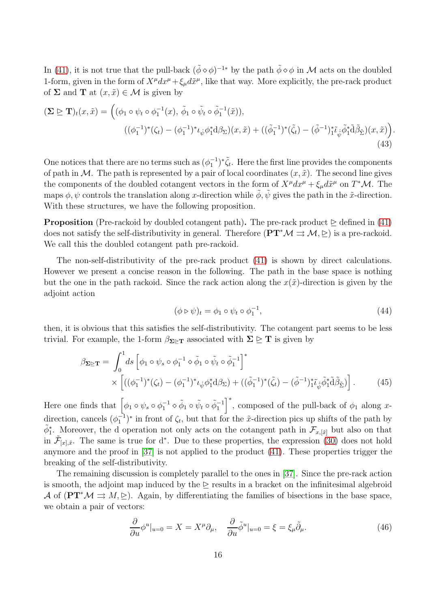In [\(41\)](#page-15-1), it is not true that the pull-back  $(\tilde{\phi} \diamond \phi)^{-1*}$  by the path  $\tilde{\phi} \diamond \phi$  in M acts on the doubled 1-form, given in the form of  $X^{\mu}dx^{\mu} + \xi_{\mu}d\tilde{x}^{\mu}$ , like that way. More explicitly, the pre-rack product of  $\Sigma$  and  $\mathbf{T}$  at  $(x, \tilde{x}) \in \mathcal{M}$  is given by

$$
(\mathbf{\Sigma} \triangleright \mathbf{T})_t(x, \tilde{x}) = \Big( (\phi_1 \circ \psi_t \circ \phi_1^{-1}(x), \tilde{\phi}_1 \circ \tilde{\psi}_t \circ \tilde{\phi}_1^{-1}(\tilde{x})), ((\phi_1^{-1})^*(\zeta_t) - (\phi_1^{-1})^* \iota_{\dot{\psi}} \phi_1^* d\beta_{\Sigma})(x, \tilde{x}) + ((\tilde{\phi}_1^{-1})^*(\tilde{\zeta}_t) - (\tilde{\phi}^{-1})_1^* \iota_{\dot{\psi}}^* \tilde{\phi}_1^* \tilde{d}\tilde{\beta}_{\tilde{\Sigma}})(x, \tilde{x}) \Big).
$$
\n(43)

One notices that there are no terms such as  $(\phi_1^{-1})^* \tilde{\zeta}_t$ . Here the first line provides the components of path in M. The path is represented by a pair of local coordinates  $(x, \tilde{x})$ . The second line gives the components of the doubled cotangent vectors in the form of  $X^{\mu}dx^{\mu} + \xi_{\mu}d\tilde{x}^{\mu}$  on  $T^{\ast}\mathcal{M}$ . The maps  $\phi, \psi$  controls the translation along x-direction while  $\phi, \bar{\psi}$  gives the path in the  $\tilde{x}$ -direction. With these structures, we have the following proposition.

**Proposition** (Pre-rackoid by doubled cotangent path). The pre-rack product  $\triangleright$  defined in [\(41\)](#page-15-1) does not satisfy the self-distributivity in general. Therefore  $(PT^*\mathcal{M} \rightrightarrows \mathcal{M}, \rightrightarrows)$  is a pre-rackoid. We call this the doubled cotangent path pre-rackoid.

The non-self-distributivity of the pre-rack product [\(41\)](#page-15-1) is shown by direct calculations. However we present a concise reason in the following. The path in the base space is nothing but the one in the path rackoid. Since the rack action along the  $x(\tilde{x})$ -direction is given by the adjoint action

$$
(\phi \triangleright \psi)_t = \phi_1 \circ \psi_t \circ \phi_1^{-1},\tag{44}
$$

then, it is obvious that this satisfies the self-distributivity. The cotangent part seems to be less trivial. For example, the 1-form  $\beta_{\Sigma \triangleright \mathbf{T}}$  associated with  $\Sigma \triangleright \mathbf{T}$  is given by

$$
\beta_{\Sigma \triangleright \mathbf{T}} = \int_0^1 ds \left[ \phi_1 \circ \psi_s \circ \phi_1^{-1} \circ \tilde{\phi}_1 \circ \tilde{\psi}_t \circ \tilde{\phi}_1^{-1} \right]^* \times \left[ ((\phi_1^{-1})^* (\zeta_t) - (\phi_1^{-1})^* \iota_{\dot{\psi}} \phi_1^* d\beta_{\Sigma}) + ((\tilde{\phi}_1^{-1})^* (\tilde{\zeta}_t) - (\tilde{\phi}^{-1})^* \iota_{\dot{\psi}}^* \tilde{\phi}_1^* \tilde{d}\tilde{\beta}_{\tilde{\Sigma}}) \right]. \tag{45}
$$

Here one finds that  $\left[\phi_1 \circ \psi_s \circ \phi_1^{-1} \circ \tilde{\phi}_1 \circ \tilde{\psi}_t \circ \tilde{\phi}_1^{-1}\right]$ i∗ , composed of the pull-back of  $\phi_1$  along xdirection, cancels  $(\phi_1^{-1})^*$  in front of  $\zeta_t$ , but that for the  $\tilde{x}$ -direction pics up shifts of the path by  $\tilde{\phi}_1^*$ . Moreover, the d operation not only acts on the cotangent path in  $\mathcal{F}_{x,[\tilde{x}]}$  but also on that in  $\tilde{\mathcal{F}}_{[x],\tilde{x}}$ . The same is true for d<sup>\*</sup>. Due to these properties, the expression [\(30\)](#page-12-0) does not hold anymore and the proof in [\[37\]](#page-29-4) is not applied to the product [\(41\)](#page-15-1). These properties trigger the breaking of the self-distributivity.

The remaining discussion is completely parallel to the ones in [\[37\]](#page-29-4). Since the pre-rack action is smooth, the adjoint map induced by the  $\geq$  results in a bracket on the infinitesimal algebroid A of ( $PT^*M \rightrightarrows M, \rhd$ ). Again, by differentiating the families of bisections in the base space, we obtain a pair of vectors:

$$
\frac{\partial}{\partial u}\phi^u|_{u=0} = X = X^\mu \partial_\mu, \quad \frac{\partial}{\partial u}\tilde{\phi}^u|_{u=0} = \xi = \xi_\mu \tilde{\partial}_\mu. \tag{46}
$$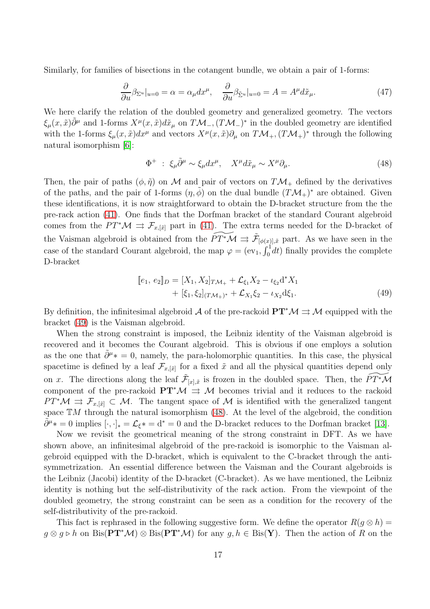Similarly, for families of bisections in the cotangent bundle, we obtain a pair of 1-forms:

$$
\frac{\partial}{\partial u}\beta_{\Sigma^u}|_{u=0} = \alpha = \alpha_\mu dx^\mu, \quad \frac{\partial}{\partial u}\beta_{\tilde{\Sigma}^u}|_{u=0} = A = A^\mu d\tilde{x}_\mu.
$$
 (47)

We here clarify the relation of the doubled geometry and generalized geometry. The vectors  $\xi_\mu(x,\tilde{x})\tilde{\partial}^\mu$  and 1-forms  $X^\mu(x,\tilde{x})d\tilde{x}_\mu$  on  $T\mathcal{M}_-$ ,  $(T\mathcal{M}_-)^*$  in the doubled geometry are identified with the 1-forms  $\xi_\mu(x, \tilde{x})dx^\mu$  and vectors  $X^\mu(x, \tilde{x})\partial_\mu$  on  $T\mathcal{M}_+$ ,  $(T\mathcal{M}_+)^*$  through the following natural isomorphism [\[6\]](#page-27-12):

<span id="page-17-1"></span>
$$
\Phi^+ : \xi_\mu \tilde{\partial}^\mu \sim \xi_\mu dx^\mu, \quad X^\mu d\tilde{x}_\mu \sim X^\mu \partial_\mu. \tag{48}
$$

Then, the pair of paths  $(\phi, \tilde{\eta})$  on M and pair of vectors on  $T\mathcal{M}_+$  defined by the derivatives of the paths, and the pair of 1-forms  $(\eta, \tilde{\phi})$  on the dual bundle  $(T\mathcal{M}_{+})^*$  are obtained. Given these identifications, it is now straightforward to obtain the D-bracket structure from the the pre-rack action [\(41\)](#page-15-1). One finds that the Dorfman bracket of the standard Courant algebroid comes from the  $PT^*\mathcal{M} \Rightarrow \mathcal{F}_{x,[\tilde{x}]}$  part in [\(41\)](#page-15-1). The extra terms needed for the D-bracket of the Vaisman algebroid is obtained from the  $\widetilde{PT^*M} \rightrightarrows \widetilde{\mathcal{F}}_{[\phi(x)],\tilde{x}}$  part. As we have seen in the case of the standard Courant algebroid, the map  $\varphi = (ev_1, \int_0^1 dt)$  finally provides the complete D-bracket

<span id="page-17-0"></span>
$$
[e_1, e_2]_D = [X_1, X_2]_{TM_+} + \mathcal{L}_{\xi_1} X_2 - \iota_{\xi_2} d^* X_1 + [\xi_1, \xi_2]_{(TM_+)^*} + \mathcal{L}_{X_1} \xi_2 - \iota_{X_2} d\xi_1.
$$
\n(49)

By definition, the infinitesimal algebroid A of the pre-rackoid  $PT^*\mathcal{M} \rightrightarrows \mathcal{M}$  equipped with the bracket [\(49\)](#page-17-0) is the Vaisman algebroid.

When the strong constraint is imposed, the Leibniz identity of the Vaisman algebroid is recovered and it becomes the Courant algebroid. This is obvious if one employs a solution as the one that  $\tilde{\partial}^{\mu} * = 0$ , namely, the para-holomorphic quantities. In this case, the physical spacetime is defined by a leaf  $\mathcal{F}_{x,[\tilde{x}]}$  for a fixed  $\tilde{x}$  and all the physical quantities depend only on x. The directions along the leaf  $\tilde{\mathcal{F}}_{[x],\tilde{x}}$  is frozen in the doubled space. Then, the  $\widetilde{PT^*M}$ component of the pre-rackoid  $PT^*\mathcal{M} \Rightarrow \mathcal{M}$  becomes trivial and it reduces to the rackoid  $PT^*\mathcal{M} \implies \mathcal{F}_{x,[\tilde{x}]} \subset \mathcal{M}$ . The tangent space of  $\mathcal{M}$  is identified with the generalized tangent space  $TM$  through the natural isomorphism [\(48\)](#page-17-1). At the level of the algebroid, the condition  $\tilde{\partial}^{\mu}* = 0$  implies  $[\cdot, \cdot]_* = \mathcal{L}_{\xi} * = d^* = 0$  and the D-bracket reduces to the Dorfman bracket [\[13\]](#page-27-10).

Now we revisit the geometrical meaning of the strong constraint in DFT. As we have shown above, an infinitesimal algebroid of the pre-rackoid is isomorphic to the Vaisman algebroid equipped with the D-bracket, which is equivalent to the C-bracket through the antisymmetrization. An essential difference between the Vaisman and the Courant algebroids is the Leibniz (Jacobi) identity of the D-bracket (C-bracket). As we have mentioned, the Leibniz identity is nothing but the self-distributivity of the rack action. From the viewpoint of the doubled geometry, the strong constraint can be seen as a condition for the recovery of the self-distributivity of the pre-rackoid.

This fact is rephrased in the following suggestive form. We define the operator  $R(g \otimes h)$  =  $g \otimes g \triangleright h$  on Bis( $\mathbf{PT}^*\mathcal{M}$ )  $\otimes$  Bis( $\mathbf{PT}^*\mathcal{M}$ ) for any  $g, h \in \text{Bis}(\mathbf{Y})$ . Then the action of R on the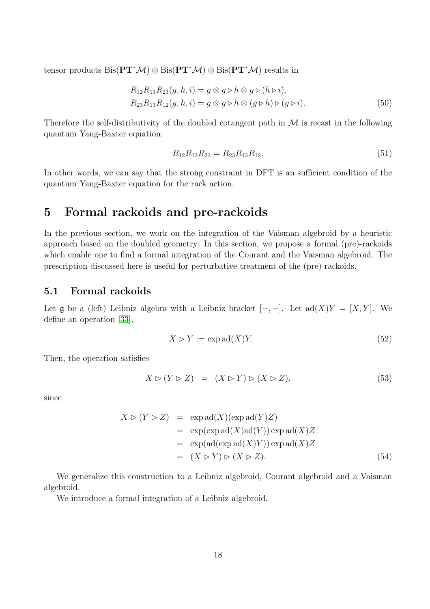tensor products  $\text{Bis}(\mathbf{PT}^*\mathcal{M})\otimes \text{Bis}(\mathbf{PT}^*\mathcal{M})\otimes \text{Bis}(\mathbf{PT}^*\mathcal{M})$  results in

$$
R_{12}R_{13}R_{23}(g, h, i) = g \otimes g \triangleright h \otimes g \triangleright (h \triangleright i),
$$
  
\n
$$
R_{23}R_{13}R_{12}(g, h, i) = g \otimes g \triangleright h \otimes (g \triangleright h) \triangleright (g \triangleright i).
$$
\n(50)

Therefore the self-distributivity of the doubled cotangent path in  $\mathcal M$  is recast in the following quantum Yang-Baxter equation:

$$
R_{12}R_{13}R_{23} = R_{23}R_{13}R_{12}.\tag{51}
$$

In other words, we can say that the strong constraint in DFT is an sufficient condition of the quantum Yang-Baxter equation for the rack action.

### <span id="page-18-0"></span>5 Formal rackoids and pre-rackoids

In the previous section, we work on the integration of the Vaisman algebroid by a heuristic approach based on the doubled geometry. In this section, we propose a formal (pre)-rackoids which enable one to find a formal integration of the Courant and the Vaisman algebroid. The prescription discussed here is useful for perturbative treatment of the (pre)-rackoids.

### 5.1 Formal rackoids

Let  $\mathfrak g$  be a (left) Leibniz algebra with a Leibniz bracket  $[-, -]$ . Let  $\text{ad}(X)Y = [X, Y]$ . We define an operation [\[33\]](#page-29-1),

$$
X \triangleright Y := \exp \operatorname{ad}(X)Y. \tag{52}
$$

Then, the operation satisfies

$$
X \triangleright (Y \triangleright Z) = (X \triangleright Y) \triangleright (X \triangleright Z), \tag{53}
$$

since

$$
X \triangleright (Y \triangleright Z) = \exp \operatorname{ad}(X)(\exp \operatorname{ad}(Y)Z)
$$
  
= 
$$
\exp(\exp \operatorname{ad}(X)\operatorname{ad}(Y)) \exp \operatorname{ad}(X)Z
$$
  
= 
$$
\exp(\operatorname{ad}(\exp \operatorname{ad}(X)Y)) \exp \operatorname{ad}(X)Z
$$
  
= 
$$
(X \triangleright Y) \triangleright (X \triangleright Z).
$$
 (54)

We generalize this construction to a Leibniz algebroid, Courant algebroid and a Vaisman algebroid.

We introduce a formal integration of a Leibniz algebroid.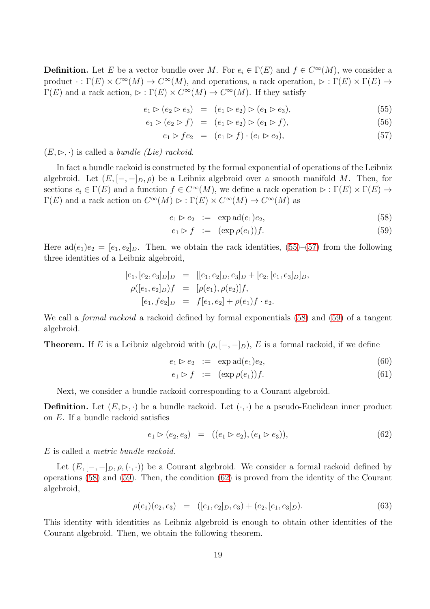**Definition.** Let E be a vector bundle over M. For  $e_i \in \Gamma(E)$  and  $f \in C^{\infty}(M)$ , we consider a product  $\cdot : \Gamma(E) \times C^{\infty}(M) \to C^{\infty}(M)$ , and operations, a rack operation,  $\rhd : \Gamma(E) \times \Gamma(E) \to$  $\Gamma(E)$  and a rack action,  $\rhd : \Gamma(E) \times C^{\infty}(M) \to C^{\infty}(M)$ . If they satisfy

<span id="page-19-0"></span>
$$
e_1 \triangleright (e_2 \triangleright e_3) = (e_1 \triangleright e_2) \triangleright (e_1 \triangleright e_3), \tag{55}
$$

$$
e_1 \triangleright (e_2 \triangleright f) = (e_1 \triangleright e_2) \triangleright (e_1 \triangleright f), \tag{56}
$$

$$
e_1 \triangleright fe_2 = (e_1 \triangleright f) \cdot (e_1 \triangleright e_2), \tag{57}
$$

 $(E, \triangleright, \cdot)$  is called a *bundle (Lie) rackoid.* 

In fact a bundle rackoid is constructed by the formal exponential of operations of the Leibniz algebroid. Let  $(E, [-,-]_D, \rho)$  be a Leibniz algebroid over a smooth manifold M. Then, for sections  $e_i \in \Gamma(E)$  and a function  $f \in C^{\infty}(M)$ , we define a rack operation  $\rhd : \Gamma(E) \times \Gamma(E) \to$  $\Gamma(E)$  and a rack action on  $C^{\infty}(M) \triangleright : \Gamma(E) \times C^{\infty}(M) \to C^{\infty}(M)$  as

<span id="page-19-1"></span>
$$
e_1 \triangleright e_2 := \exp \operatorname{ad}(e_1)e_2,\tag{58}
$$

$$
e_1 \triangleright f \ := \ (\exp \rho(e_1)) f. \tag{59}
$$

Here  $ad(e_1)e_2 = [e_1, e_2]_D$ . Then, we obtain the rack identities, [\(55\)](#page-19-0)–[\(57\)](#page-19-0) from the following three identities of a Leibniz algebroid,

$$
[e_1, [e_2, e_3]_D]_D = [[e_1, e_2]_D, e_3]_D + [e_2, [e_1, e_3]_D]_D,
$$
  
\n
$$
\rho([e_1, e_2]_D) f = [\rho(e_1), \rho(e_2)]f,
$$
  
\n
$$
[e_1, fe_2]_D = f[e_1, e_2] + \rho(e_1)f \cdot e_2.
$$

We call a *formal rackoid* a rackoid defined by formal exponentials [\(58\)](#page-19-1) and [\(59\)](#page-19-1) of a tangent algebroid.

**Theorem.** If E is a Leibniz algebroid with  $(\rho, [-,-]_D)$ , E is a formal rackoid, if we define

$$
e_1 \triangleright e_2 \quad := \quad \exp \operatorname{ad}(e_1)e_2,\tag{60}
$$

$$
e_1 \triangleright f := (\exp \rho(e_1))f. \tag{61}
$$

Next, we consider a bundle rackoid corresponding to a Courant algebroid.

**Definition.** Let  $(E, \triangleright, \cdot)$  be a bundle rackoid. Let  $(\cdot, \cdot)$  be a pseudo-Euclidean inner product on E. If a bundle rackoid satisfies

<span id="page-19-2"></span>
$$
e_1 \triangleright (e_2, e_3) = ((e_1 \triangleright e_2), (e_1 \triangleright e_3)), \tag{62}
$$

E is called a metric bundle rackoid.

Let  $(E, [-,-]_D, \rho, (\cdot,\cdot))$  be a Courant algebroid. We consider a formal rackoid defined by operations [\(58\)](#page-19-1) and [\(59\)](#page-19-1). Then, the condition [\(62\)](#page-19-2) is proved from the identity of the Courant algebroid,

$$
\rho(e_1)(e_2, e_3) = ([e_1, e_2]_D, e_3) + (e_2, [e_1, e_3]_D). \tag{63}
$$

This identity with identities as Leibniz algebroid is enough to obtain other identities of the Courant algebroid. Then, we obtain the following theorem.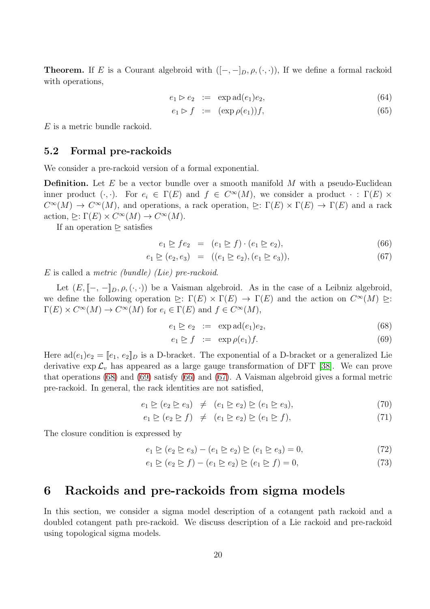**Theorem.** If E is a Courant algebroid with  $([-,-]_D, \rho, (\cdot,\cdot))$ , If we define a formal rackoid with operations,

$$
e_1 \triangleright e_2 := \exp \operatorname{ad}(e_1)e_2,\tag{64}
$$

$$
e_1 \triangleright f \ := \ (\exp \rho(e_1)) f, \tag{65}
$$

E is a metric bundle rackoid.

### 5.2 Formal pre-rackoids

We consider a pre-rackoid version of a formal exponential.

**Definition.** Let E be a vector bundle over a smooth manifold  $M$  with a pseudo-Euclidean inner product  $(\cdot, \cdot)$ . For  $e_i \in \Gamma(E)$  and  $f \in C^{\infty}(M)$ , we consider a product  $\cdot : \Gamma(E) \times$  $C^{\infty}(M) \to C^{\infty}(M)$ , and operations, a rack operation,  $\trianglerighteq: \Gamma(E) \times \Gamma(E) \to \Gamma(E)$  and a rack action,  $\trianglerighteq: \Gamma(E) \times C^{\infty}(M) \to C^{\infty}(M)$ .

If an operation  $\triangleright$  satisfies

<span id="page-20-2"></span>
$$
e_1 \trianglerighteq fe_2 = (e_1 \trianglerighteq f) \cdot (e_1 \trianglerighteq e_2), \tag{66}
$$

$$
e_1 \trianglerighteq (e_2, e_3) = ((e_1 \trianglerighteq e_2), (e_1 \trianglerighteq e_3)), \tag{67}
$$

 $E$  is called a *metric (bundle)* (Lie) pre-rackoid.

Let  $(E, \llbracket -,-\rrbracket_D, \rho, (\cdot,\cdot))$  be a Vaisman algebroid. As in the case of a Leibniz algebroid, we define the following operation  $\trianglerighteq: \Gamma(E) \times \Gamma(E) \rightarrow \Gamma(E)$  and the action on  $C^{\infty}(M) \trianglerighteq:$  $\Gamma(E) \times C^{\infty}(M) \to C^{\infty}(M)$  for  $e_i \in \Gamma(E)$  and  $f \in C^{\infty}(M)$ ,

<span id="page-20-1"></span>
$$
e_1 \trianglerighteq e_2 := \exp \operatorname{ad}(e_1)e_2,\tag{68}
$$

$$
e_1 \trianglerighteq f := \exp \rho(e_1) f. \tag{69}
$$

Here  $ad(e_1)e_2 = [e_1, e_2]_D$  is a D-bracket. The exponential of a D-bracket or a generalized Lie derivative  $\exp \mathcal{L}_v$  has appeared as a large gauge transformation of DFT [\[38\]](#page-29-5). We can prove that operations [\(68\)](#page-20-1) and [\(69\)](#page-20-1) satisfy [\(66\)](#page-20-2) and [\(67\)](#page-20-2). A Vaisman algebroid gives a formal metric pre-rackoid. In general, the rack identities are not satisfied,

$$
e_1 \trianglerighteq (e_2 \trianglerighteq e_3) \neq (e_1 \trianglerighteq e_2) \trianglerighteq (e_1 \trianglerighteq e_3), \tag{70}
$$

$$
e_1 \trianglerighteq (e_2 \trianglerighteq f) \neq (e_1 \trianglerighteq e_2) \trianglerighteq (e_1 \trianglerighteq f), \tag{71}
$$

The closure condition is expressed by

$$
e_1 \trianglerighteq (e_2 \trianglerighteq e_3) - (e_1 \trianglerighteq e_2) \trianglerighteq (e_1 \trianglerighteq e_3) = 0,
$$
\n(72)

$$
e_1 \trianglerighteq (e_2 \trianglerighteq f) - (e_1 \trianglerighteq e_2) \trianglerighteq (e_1 \trianglerighteq f) = 0,
$$
\n(73)

### <span id="page-20-0"></span>6 Rackoids and pre-rackoids from sigma models

In this section, we consider a sigma model description of a cotangent path rackoid and a doubled cotangent path pre-rackoid. We discuss description of a Lie rackoid and pre-rackoid using topological sigma models.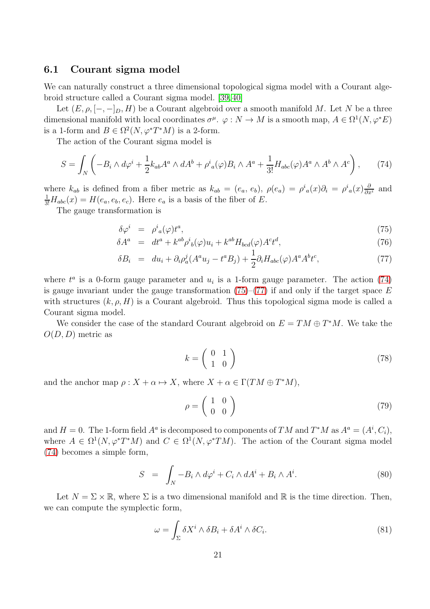#### <span id="page-21-2"></span>6.1 Courant sigma model

We can naturally construct a three dimensional topological sigma model with a Courant algebroid structure called a Courant sigma model. [\[39,](#page-29-6) [40\]](#page-29-7)

Let  $(E, \rho, [-,-]_D, H)$  be a Courant algebroid over a smooth manifold M. Let N be a three dimensional manifold with local coordinates  $\sigma^{\mu}$ .  $\varphi : N \to M$  is a smooth map,  $A \in \Omega^1(N, \varphi^*E)$ is a 1-form and  $B \in \Omega^2(N, \varphi^*T^*M)$  is a 2-form.

The action of the Courant sigma model is

$$
S = \int_N \left( -B_i \wedge d\varphi^i + \frac{1}{2} k_{ab} A^a \wedge dA^b + \rho^i{}_a(\varphi) B_i \wedge A^a + \frac{1}{3!} H_{abc}(\varphi) A^a \wedge A^b \wedge A^c \right), \tag{74}
$$

where  $k_{ab}$  is defined from a fiber metric as  $k_{ab} = (e_a, e_b), \ \rho(e_a) = \rho^i{}_a(x)\partial_i = \rho^i{}_a(x)\frac{\partial}{\partial x^i}$  and  $\frac{1}{3!}H_{abc}(x) = H(e_a, e_b, e_c)$ . Here  $e_a$  is a basis of the fiber of E.

The gauge transformation is

<span id="page-21-1"></span><span id="page-21-0"></span>
$$
\delta \varphi^i = \rho^i{}_a(\varphi) t^a,\tag{75}
$$

$$
\delta A^a = dt^a + k^{ab} \rho^i{}_b(\varphi) u_i + k^{ab} H_{bcd}(\varphi) A^c t^d, \tag{76}
$$

$$
\delta B_i = du_i + \partial_i \rho_a^j (A^a u_j - t^a B_j) + \frac{1}{2} \partial_i H_{abc}(\varphi) A^a A^b t^c,
$$
\n(77)

where  $t^a$  is a 0-form gauge parameter and  $u_i$  is a 1-form gauge parameter. The action [\(74\)](#page-21-0) is gauge invariant under the gauge transformation  $(75)-(77)$  $(75)-(77)$  if and only if the target space E with structures  $(k, \rho, H)$  is a Courant algebroid. Thus this topological sigma mode is called a Courant sigma model.

We consider the case of the standard Courant algebroid on  $E = TM \oplus T^*M$ . We take the  $O(D, D)$  metric as

$$
k = \left(\begin{array}{cc} 0 & 1\\ 1 & 0 \end{array}\right) \tag{78}
$$

and the anchor map  $\rho: X + \alpha \mapsto X$ , where  $X + \alpha \in \Gamma(TM \oplus T^*M)$ ,

$$
\rho = \left(\begin{array}{cc} 1 & 0 \\ 0 & 0 \end{array}\right) \tag{79}
$$

and  $H = 0$ . The 1-form field  $A^a$  is decomposed to components of TM and  $T^*M$  as  $A^a = (A^i, C_i)$ , where  $A \in \Omega^1(N, \varphi^*T^*M)$  and  $C \in \Omega^1(N, \varphi^*TM)$ . The action of the Courant sigma model [\(74\)](#page-21-0) becomes a simple form,

$$
S = \int_{N} -B_{i} \wedge d\varphi^{i} + C_{i} \wedge dA^{i} + B_{i} \wedge A^{i}.
$$
 (80)

Let  $N = \Sigma \times \mathbb{R}$ , where  $\Sigma$  is a two dimensional manifold and  $\mathbb{R}$  is the time direction. Then, we can compute the symplectic form,

$$
\omega = \int_{\Sigma} \delta X^i \wedge \delta B_i + \delta A^i \wedge \delta C_i.
$$
 (81)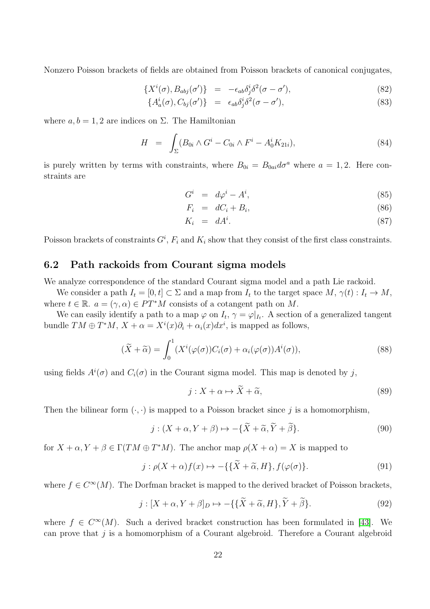Nonzero Poisson brackets of fields are obtained from Poisson brackets of canonical conjugates,

$$
\{X^i(\sigma), B_{abj}(\sigma')\} = -\epsilon_{ab}\delta^i_j \delta^2(\sigma - \sigma'), \tag{82}
$$

$$
\{A_a^i(\sigma), C_{bj}(\sigma')\} = \epsilon_{ab}\delta_j^i \delta^2(\sigma - \sigma'), \tag{83}
$$

where  $a, b = 1, 2$  are indices on  $\Sigma$ . The Hamiltonian

$$
H = \int_{\Sigma} (B_{0i} \wedge G^i - C_{0i} \wedge F^i - A_0^i K_{21i}), \tag{84}
$$

is purely written by terms with constraints, where  $B_{0i} = B_{0ai} d\sigma^a$  where  $a = 1, 2$ . Here constraints are

$$
G^i = d\varphi^i - A^i, \tag{85}
$$

$$
F_i = dC_i + B_i, \t\t(86)
$$

$$
K_i = dA^i. \t\t(87)
$$

<span id="page-22-2"></span>Poisson brackets of constraints  $G^i$ ,  $F_i$  and  $K_i$  show that they consist of the first class constraints.

### 6.2 Path rackoids from Courant sigma models

We analyze correspondence of the standard Courant sigma model and a path Lie rackoid.

We consider a path  $I_t = [0, t] \subset \Sigma$  and a map from  $I_t$  to the target space  $M, \gamma(t) : I_t \to M$ , where  $t \in \mathbb{R}$ .  $a = (\gamma, \alpha) \in PT^*M$  consists of a cotangent path on M.

We can easily identify a path to a map  $\varphi$  on  $I_t$ ,  $\gamma = \varphi|_{I_t}$ . A section of a generalized tangent bundle  $TM \oplus T^*M$ ,  $X + \alpha = X^i(x)\partial_i + \alpha_i(x)dx^i$ , is mapped as follows,

$$
(\widetilde{X} + \widetilde{\alpha}) = \int_0^1 (X^i(\varphi(\sigma))C_i(\sigma) + \alpha_i(\varphi(\sigma))A^i(\sigma)), \tag{88}
$$

using fields  $A^{i}(\sigma)$  and  $C_{i}(\sigma)$  in the Courant sigma model. This map is denoted by j,

$$
j: X + \alpha \mapsto \tilde{X} + \tilde{\alpha}, \tag{89}
$$

Then the bilinear form  $(\cdot, \cdot)$  is mapped to a Poisson bracket since j is a homomorphism,

<span id="page-22-0"></span>
$$
j: (X + \alpha, Y + \beta) \mapsto -\{\widetilde{X} + \widetilde{\alpha}, \widetilde{Y} + \widetilde{\beta}\}.
$$
\n(90)

for  $X + \alpha, Y + \beta \in \Gamma(TM \oplus T^*M)$ . The anchor map  $\rho(X + \alpha) = X$  is mapped to

$$
j : \rho(X + \alpha) f(x) \mapsto -\{\{\widetilde{X} + \widetilde{\alpha}, H\}, f(\varphi(\sigma))\}.
$$
\n(91)

where  $f \in C^{\infty}(M)$ . The Dorfman bracket is mapped to the derived bracket of Poisson brackets,

<span id="page-22-1"></span>
$$
j: [X + \alpha, Y + \beta]_D \mapsto -\{\{\widetilde{X} + \widetilde{\alpha}, H\}, \widetilde{Y} + \widetilde{\beta}\}.
$$
\n(92)

where  $f \in C^{\infty}(M)$ . Such a derived bracket construction has been formulated in [\[43\]](#page-29-11). We can prove that  $j$  is a homomorphism of a Courant algebroid. Therefore a Courant algebroid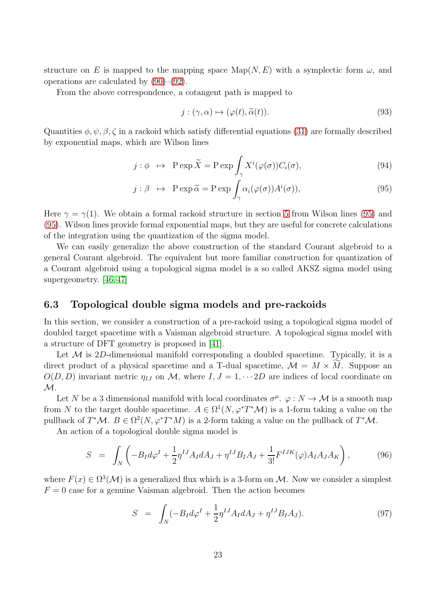structure on E is mapped to the mapping space  $\text{Map}(N, E)$  with a symplectic form  $\omega$ , and operations are calculated by [\(90\)](#page-22-0)–[\(92\)](#page-22-1).

From the above correspondence, a cotangent path is mapped to

$$
j: (\gamma, \alpha) \mapsto (\varphi(t), \widetilde{\alpha}(t)). \tag{93}
$$

Quantities  $\phi, \psi, \beta, \zeta$  in a rackoid which satisfy differential equations [\(31\)](#page-12-1) are formally described by exponential maps, which are Wilson lines

<span id="page-23-0"></span>
$$
j: \phi \ \mapsto \ \mathrm{P} \exp \widetilde{X} = \mathrm{P} \exp \int_{\gamma} X^i(\varphi(\sigma)) C_i(\sigma), \tag{94}
$$

$$
j: \beta \mapsto \text{P} \exp \tilde{\alpha} = \text{P} \exp \int_{\gamma} \alpha_i(\varphi(\sigma)) A^i(\sigma), \tag{95}
$$

Here  $\gamma = \gamma(1)$ . We obtain a formal rackoid structure in section [5](#page-18-0) from Wilson lines [\(95\)](#page-23-0) and [\(95\)](#page-23-0). Wilson lines provide formal exponential maps, but they are useful for concrete calculations of the integration using the quantization of the sigma model.

We can easily generalize the above construction of the standard Courant algebroid to a general Courant algebroid. The equivalent but more familiar construction for quantization of a Courant algebroid using a topological sigma model is a so called AKSZ sigma model using supergeometry. [\[46,](#page-30-1) [47\]](#page-30-2)

### 6.3 Topological double sigma models and pre-rackoids

In this section, we consider a construction of a pre-rackoid using a topological sigma model of doubled target spacetime with a Vaisman algebroid structure. A topological sigma model with a structure of DFT geometry is proposed in [\[41\]](#page-29-8).

Let  $\mathcal M$  is 2D-dimensional manifold corresponding a doubled spacetime. Typically, it is a direct product of a physical spacetime and a T-dual spacetime,  $\mathcal{M} = M \times M$ . Suppose an  $O(D, D)$  invariant metric  $\eta_{IJ}$  on M, where  $I, J = 1, \cdots 2D$  are indices of local coordinate on  $\mathcal{M}.$ 

Let N be a 3 dimensional manifold with local coordinates  $\sigma^{\mu}$ .  $\varphi : N \to M$  is a smooth map from N to the target double spacetime.  $A \in \Omega^1(N, \varphi^* T^* \mathcal{M})$  is a 1-form taking a value on the pullback of  $T^*\mathcal{M}$ .  $B \in \Omega^2(N, \varphi^*T^*M)$  is a 2-form taking a value on the pullback of  $T^*\mathcal{M}$ .

An action of a topological double sigma model is

$$
S = \int_{N} \left( -B_{I} d\varphi^{I} + \frac{1}{2} \eta^{IJ} A_{I} dA_{J} + \eta^{IJ} B_{I} A_{J} + \frac{1}{3!} F^{IJK}(\varphi) A_{I} A_{J} A_{K} \right), \tag{96}
$$

where  $F(x) \in \Omega^3(\mathcal{M})$  is a generalized flux which is a 3-form on M. Now we consider a simplest  $F = 0$  case for a genuine Vaisman algebroid. Then the action becomes

$$
S = \int_{N} (-B_{I}d\varphi^{I} + \frac{1}{2}\eta^{IJ}A_{I}dA_{J} + \eta^{IJ}B_{I}A_{J}).
$$
\n(97)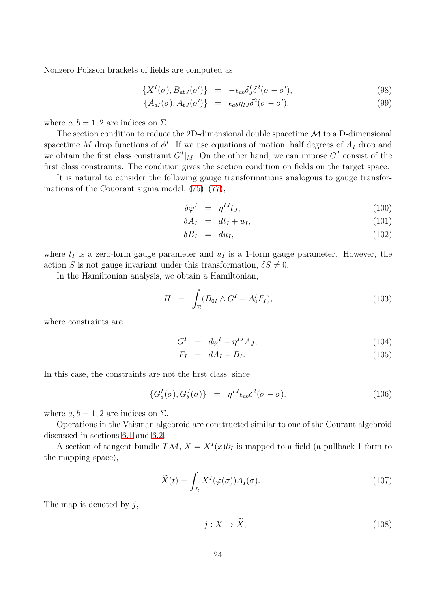Nonzero Poisson brackets of fields are computed as

$$
\{X^{I}(\sigma), B_{abJ}(\sigma')\} = -\epsilon_{ab}\delta^{I}_{J}\delta^{2}(\sigma - \sigma'), \qquad (98)
$$

$$
\{A_{aI}(\sigma), A_{bJ}(\sigma')\} = \epsilon_{ab}\eta_{IJ}\delta^2(\sigma - \sigma'),\tag{99}
$$

where  $a, b = 1, 2$  are indices on  $\Sigma$ .

The section condition to reduce the 2D-dimensional double spacetime  $\mathcal M$  to a D-dimensional spacetime M drop functions of  $\phi^I$ . If we use equations of motion, half degrees of  $A_I$  drop and we obtain the first class constraint  $G^I|_M$ . On the other hand, we can impose  $G^I$  consist of the first class constraints. The condition gives the section condition on fields on the target space.

It is natural to consider the following gauge transformations analogous to gauge transformations of the Couorant sigma model, [\(75\)](#page-21-1)–[\(77\)](#page-21-1),

$$
\delta \varphi^I = \eta^{IJ} t_J, \tag{100}
$$

$$
\delta A_I = dt_I + u_I, \tag{101}
$$

$$
\delta B_I = du_I, \tag{102}
$$

where  $t_I$  is a zero-form gauge parameter and  $u_I$  is a 1-form gauge parameter. However, the action S is not gauge invariant under this transformation,  $\delta S \neq 0$ .

In the Hamiltonian analysis, we obtain a Hamiltonian,

$$
H = \int_{\Sigma} (B_{0I} \wedge G^I + A_0^I F_I), \qquad (103)
$$

where constraints are

$$
G^I = d\varphi^I - \eta^{IJ} A_J, \qquad (104)
$$

$$
F_I = dA_I + B_I. \t\t(105)
$$

In this case, the constraints are not the first class, since

$$
\{G_a^I(\sigma), G_b^J(\sigma)\} = \eta^{IJ} \epsilon_{ab} \delta^2(\sigma - \sigma). \tag{106}
$$

where  $a, b = 1, 2$  are indices on  $\Sigma$ .

Operations in the Vaisman algebroid are constructed similar to one of the Courant algebroid discussed in sections [6.1](#page-21-2) and [6.2.](#page-22-2)

A section of tangent bundle  $T\mathcal{M}, X = X^{I}(x)\partial_{I}$  is mapped to a field (a pullback 1-form to the mapping space),

$$
\widetilde{X}(t) = \int_{I_t} X^I(\varphi(\sigma)) A_I(\sigma). \tag{107}
$$

The map is denoted by  $j$ ,

$$
j: X \mapsto \widetilde{X},\tag{108}
$$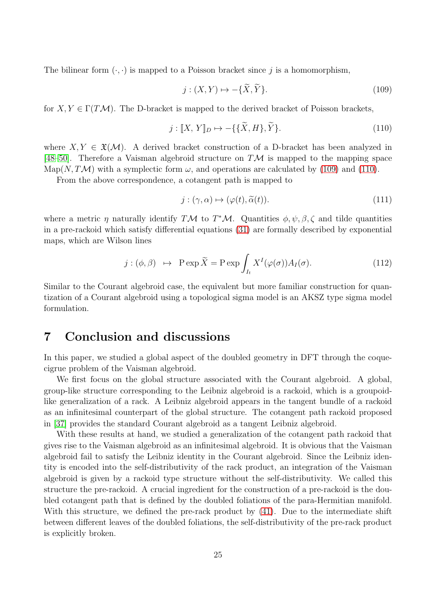The bilinear form  $(\cdot, \cdot)$  is mapped to a Poisson bracket since j is a homomorphism,

<span id="page-25-1"></span>
$$
j: (X, Y) \mapsto -\{\widetilde{X}, \widetilde{Y}\}.
$$
\n<sup>(109)</sup>

for  $X, Y \in \Gamma(TM)$ . The D-bracket is mapped to the derived bracket of Poisson brackets,

<span id="page-25-2"></span>
$$
j: [X, Y]_D \mapsto -\{\{\widetilde{X}, H\}, \widetilde{Y}\}.
$$
\n(110)

where  $X, Y \in \mathfrak{X}(\mathcal{M})$ . A derived bracket construction of a D-bracket has been analyzed in [\[48](#page-30-3)[–50\]](#page-30-4). Therefore a Vaisman algebroid structure on  $T\mathcal{M}$  is mapped to the mapping space Map(N, TM) with a symplectic form  $\omega$ , and operations are calculated by [\(109\)](#page-25-1) and [\(110\)](#page-25-2).

From the above correspondence, a cotangent path is mapped to

$$
j: (\gamma, \alpha) \mapsto (\varphi(t), \widetilde{\alpha}(t)). \tag{111}
$$

where a metric  $\eta$  naturally identify TM to T<sup>\*</sup>M. Quantities  $\phi, \psi, \beta, \zeta$  and tilde quantities in a pre-rackoid which satisfy differential equations [\(31\)](#page-12-1) are formally described by exponential maps, which are Wilson lines

$$
j: (\phi, \beta) \mapsto \text{P} \exp \widetilde{X} = \text{P} \exp \int_{I_t} X^I(\varphi(\sigma)) A_I(\sigma). \tag{112}
$$

Similar to the Courant algebroid case, the equivalent but more familiar construction for quantization of a Courant algebroid using a topological sigma model is an AKSZ type sigma model formulation.

### <span id="page-25-0"></span>7 Conclusion and discussions

In this paper, we studied a global aspect of the doubled geometry in DFT through the coquecigrue problem of the Vaisman algebroid.

We first focus on the global structure associated with the Courant algebroid. A global, group-like structure corresponding to the Leibniz algebroid is a rackoid, which is a groupoidlike generalization of a rack. A Leibniz algebroid appears in the tangent bundle of a rackoid as an infinitesimal counterpart of the global structure. The cotangent path rackoid proposed in [\[37\]](#page-29-4) provides the standard Courant algebroid as a tangent Leibniz algebroid.

With these results at hand, we studied a generalization of the cotangent path rackoid that gives rise to the Vaisman algebroid as an infinitesimal algebroid. It is obvious that the Vaisman algebroid fail to satisfy the Leibniz identity in the Courant algebroid. Since the Leibniz identity is encoded into the self-distributivity of the rack product, an integration of the Vaisman algebroid is given by a rackoid type structure without the self-distributivity. We called this structure the pre-rackoid. A crucial ingredient for the construction of a pre-rackoid is the doubled cotangent path that is defined by the doubled foliations of the para-Hermitian manifold. With this structure, we defined the pre-rack product by [\(41\)](#page-15-1). Due to the intermediate shift between different leaves of the doubled foliations, the self-distributivity of the pre-rack product is explicitly broken.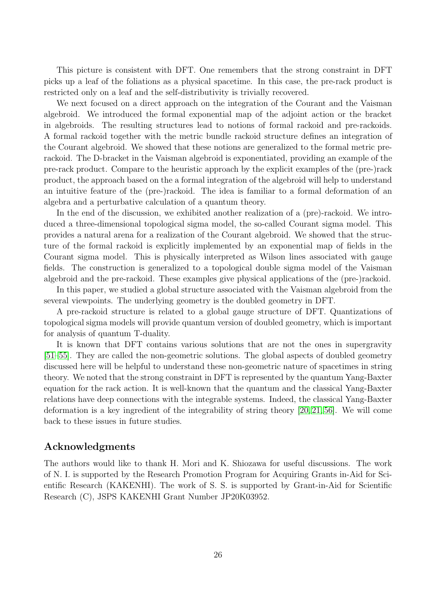This picture is consistent with DFT. One remembers that the strong constraint in DFT picks up a leaf of the foliations as a physical spacetime. In this case, the pre-rack product is restricted only on a leaf and the self-distributivity is trivially recovered.

We next focused on a direct approach on the integration of the Courant and the Vaisman algebroid. We introduced the formal exponential map of the adjoint action or the bracket in algebroids. The resulting structures lead to notions of formal rackoid and pre-rackoids. A formal rackoid together with the metric bundle rackoid structure defines an integration of the Courant algebroid. We showed that these notions are generalized to the formal metric prerackoid. The D-bracket in the Vaisman algebroid is exponentiated, providing an example of the pre-rack product. Compare to the heuristic approach by the explicit examples of the (pre-)rack product, the approach based on the a formal integration of the algebroid will help to understand an intuitive feature of the (pre-)rackoid. The idea is familiar to a formal deformation of an algebra and a perturbative calculation of a quantum theory.

In the end of the discussion, we exhibited another realization of a (pre)-rackoid. We introduced a three-dimensional topological sigma model, the so-called Courant sigma model. This provides a natural arena for a realization of the Courant algebroid. We showed that the structure of the formal rackoid is explicitly implemented by an exponential map of fields in the Courant sigma model. This is physically interpreted as Wilson lines associated with gauge fields. The construction is generalized to a topological double sigma model of the Vaisman algebroid and the pre-rackoid. These examples give physical applications of the (pre-)rackoid.

In this paper, we studied a global structure associated with the Vaisman algebroid from the several viewpoints. The underlying geometry is the doubled geometry in DFT.

A pre-rackoid structure is related to a global gauge structure of DFT. Quantizations of topological sigma models will provide quantum version of doubled geometry, which is important for analysis of quantum T-duality.

It is known that DFT contains various solutions that are not the ones in supergravity [\[51](#page-30-5)[–55\]](#page-30-6). They are called the non-geometric solutions. The global aspects of doubled geometry discussed here will be helpful to understand these non-geometric nature of spacetimes in string theory. We noted that the strong constraint in DFT is represented by the quantum Yang-Baxter equation for the rack action. It is well-known that the quantum and the classical Yang-Baxter relations have deep connections with the integrable systems. Indeed, the classical Yang-Baxter deformation is a key ingredient of the integrability of string theory [\[20,](#page-28-10) [21,](#page-28-3) [56\]](#page-30-7). We will come back to these issues in future studies.

### Acknowledgments

The authors would like to thank H. Mori and K. Shiozawa for useful discussions. The work of N. I. is supported by the Research Promotion Program for Acquiring Grants in-Aid for Scientific Research (KAKENHI). The work of S. S. is supported by Grant-in-Aid for Scientific Research (C), JSPS KAKENHI Grant Number JP20K03952.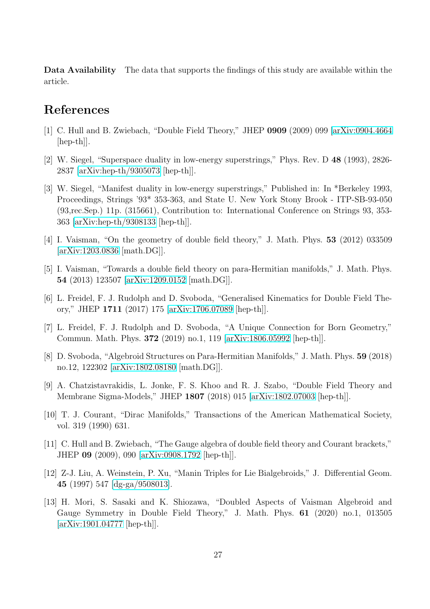Data Availability The data that supports the findings of this study are available within the article.

## <span id="page-27-0"></span>References

- <span id="page-27-1"></span>[1] C. Hull and B. Zwiebach, "Double Field Theory," JHEP 0909 (2009) 099 [\[arXiv:0904.4664](http://arxiv.org/abs/0904.4664) [hep-th]].
- <span id="page-27-2"></span>[2] W. Siegel, "Superspace duality in low-energy superstrings," Phys. Rev. D 48 (1993), 2826- 2837 [\[arXiv:hep-th/9305073](http://arxiv.org/abs/hep-th/9305073) [hep-th]].
- [3] W. Siegel, "Manifest duality in low-energy superstrings," Published in: In \*Berkeley 1993, Proceedings, Strings '93\* 353-363, and State U. New York Stony Brook - ITP-SB-93-050 (93,rec.Sep.) 11p. (315661), Contribution to: International Conference on Strings 93, 353- 363 [\[arXiv:hep-th/9308133](http://arxiv.org/abs/hep-th/9308133) [hep-th]].
- <span id="page-27-11"></span><span id="page-27-3"></span>[4] I. Vaisman, "On the geometry of double field theory," J. Math. Phys. 53 (2012) 033509 [\[arXiv:1203.0836](http://arxiv.org/abs/1203.0836) [math.DG]].
- <span id="page-27-12"></span>[5] I. Vaisman, "Towards a double field theory on para-Hermitian manifolds," J. Math. Phys. 54 (2013) 123507 [\[arXiv:1209.0152](http://arxiv.org/abs/1209.0152) [math.DG]].
- <span id="page-27-4"></span>[6] L. Freidel, F. J. Rudolph and D. Svoboda, "Generalised Kinematics for Double Field Theory," JHEP 1711 (2017) 175 [\[arXiv:1706.07089](http://arxiv.org/abs/1706.07089) [hep-th]].
- [7] L. Freidel, F. J. Rudolph and D. Svoboda, "A Unique Connection for Born Geometry," Commun. Math. Phys. 372 (2019) no.1, 119 [\[arXiv:1806.05992](http://arxiv.org/abs/1806.05992) [hep-th]].
- <span id="page-27-6"></span><span id="page-27-5"></span>[8] D. Svoboda, "Algebroid Structures on Para-Hermitian Manifolds," J. Math. Phys. 59 (2018) no.12, 122302 [\[arXiv:1802.08180](http://arxiv.org/abs/1802.08180) [math.DG]].
- [9] A. Chatzistavrakidis, L. Jonke, F. S. Khoo and R. J. Szabo, "Double Field Theory and Membrane Sigma-Models," JHEP 1807 (2018) 015 [\[arXiv:1802.07003](http://arxiv.org/abs/1802.07003) [hep-th]].
- <span id="page-27-8"></span><span id="page-27-7"></span>[10] T. J. Courant, "Dirac Manifolds," Transactions of the American Mathematical Society, vol. 319 (1990) 631.
- [11] C. Hull and B. Zwiebach, "The Gauge algebra of double field theory and Courant brackets," JHEP 09 (2009), 090 [\[arXiv:0908.1792](http://arxiv.org/abs/0908.1792) [hep-th]].
- <span id="page-27-9"></span>[12] Z-J. Liu, A. Weinstein, P. Xu, "Manin Triples for Lie Bialgebroids," J. Differential Geom. 45 (1997) 547 [\[dg-ga/9508013\]](http://arxiv.org/abs/dg-ga/9508013).
- <span id="page-27-10"></span>[13] H. Mori, S. Sasaki and K. Shiozawa, "Doubled Aspects of Vaisman Algebroid and Gauge Symmetry in Double Field Theory," J. Math. Phys. 61 (2020) no.1, 013505 [\[arXiv:1901.04777](http://arxiv.org/abs/1901.04777) [hep-th]].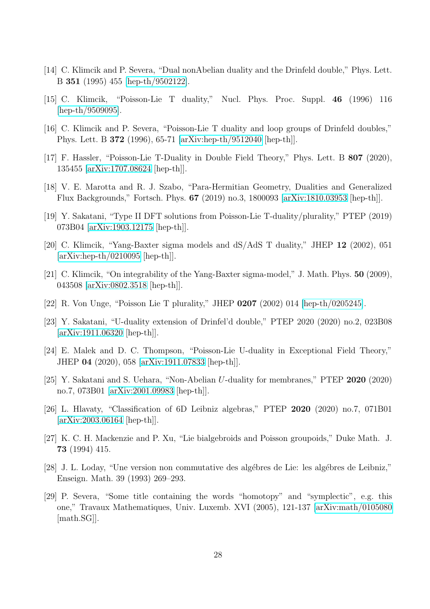- <span id="page-28-0"></span>[14] C. Klimcik and P. Severa, "Dual nonAbelian duality and the Drinfeld double," Phys. Lett. B 351 (1995) 455 [\[hep-th/9502122\]](http://arxiv.org/abs/hep-th/9502122).
- <span id="page-28-1"></span>[15] C. Klimcik, "Poisson-Lie T duality," Nucl. Phys. Proc. Suppl. 46 (1996) 116 [\[hep-th/9509095\]](http://arxiv.org/abs/hep-th/9509095).
- <span id="page-28-2"></span>[16] C. Klimcik and P. Severa, "Poisson-Lie T duality and loop groups of Drinfeld doubles," Phys. Lett. B 372 (1996), 65-71 [\[arXiv:hep-th/9512040](http://arxiv.org/abs/hep-th/9512040) [hep-th]].
- [17] F. Hassler, "Poisson-Lie T-Duality in Double Field Theory," Phys. Lett. B 807 (2020), 135455 [\[arXiv:1707.08624](http://arxiv.org/abs/1707.08624) [hep-th]].
- [18] V. E. Marotta and R. J. Szabo, "Para-Hermitian Geometry, Dualities and Generalized Flux Backgrounds," Fortsch. Phys. 67 (2019) no.3, 1800093 [\[arXiv:1810.03953](http://arxiv.org/abs/1810.03953) [hep-th]].
- <span id="page-28-10"></span>[19] Y. Sakatani, "Type II DFT solutions from Poisson-Lie T-duality/plurality," PTEP (2019) 073B04 [\[arXiv:1903.12175](http://arxiv.org/abs/1903.12175) [hep-th]].
- <span id="page-28-3"></span>[20] C. Klimcik, "Yang-Baxter sigma models and dS/AdS T duality," JHEP 12 (2002), 051 [\[arXiv:hep-th/0210095](http://arxiv.org/abs/hep-th/0210095) [hep-th]].
- <span id="page-28-4"></span>[21] C. Klimcik, "On integrability of the Yang-Baxter sigma-model," J. Math. Phys. **50** (2009), 043508 [\[arXiv:0802.3518](http://arxiv.org/abs/0802.3518) [hep-th]].
- <span id="page-28-5"></span>[22] R. Von Unge, "Poisson Lie T plurality," JHEP 0207 (2002) 014 [\[hep-th/0205245\]](http://arxiv.org/abs/hep-th/0205245).
- [23] Y. Sakatani, "U-duality extension of Drinfel'd double," PTEP 2020 (2020) no.2, 023B08 [\[arXiv:1911.06320](http://arxiv.org/abs/1911.06320) [hep-th]].
- [24] E. Malek and D. C. Thompson, "Poisson-Lie U-duality in Exceptional Field Theory," JHEP 04 (2020), 058 [\[arXiv:1911.07833](http://arxiv.org/abs/1911.07833) [hep-th]].
- <span id="page-28-6"></span>[25] Y. Sakatani and S. Uehara, "Non-Abelian U-duality for membranes," PTEP 2020 (2020) no.7, 073B01 [\[arXiv:2001.09983](http://arxiv.org/abs/2001.09983) [hep-th]].
- <span id="page-28-7"></span>[26] L. Hlavaty, "Classification of 6D Leibniz algebras," PTEP 2020 (2020) no.7, 071B01 [\[arXiv:2003.06164](http://arxiv.org/abs/2003.06164) [hep-th]].
- [27] K. C. H. Mackenzie and P. Xu, "Lie bialgebroids and Poisson groupoids," Duke Math. J. 73 (1994) 415.
- <span id="page-28-8"></span>[28] J. L. Loday, "Une version non commutative des algébres de Lie: les algébres de Leibniz," Enseign. Math. 39 (1993) 269–293.
- <span id="page-28-9"></span>[29] P. Severa, "Some title containing the words "homotopy" and "symplectic", e.g. this one," Travaux Mathematiques, Univ. Luxemb. XVI (2005), 121-137 [\[arXiv:math/0105080](http://arxiv.org/abs/math/0105080) [math.SG]].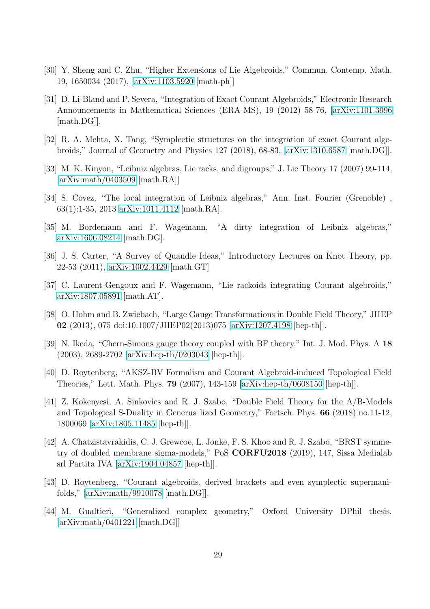- [30] Y. Sheng and C. Zhu, "Higher Extensions of Lie Algebroids," Commun. Contemp. Math. 19, 1650034 (2017), [\[arXiv:1103.5920](http://arxiv.org/abs/1103.5920) [math-ph]]
- [31] D. Li-Bland and P. Severa, "Integration of Exact Courant Algebroids," Electronic Research Announcements in Mathematical Sciences (ERA-MS), 19 (2012) 58-76, [\[arXiv:1101.3996](http://arxiv.org/abs/1101.3996) [math.DG]].
- <span id="page-29-1"></span><span id="page-29-0"></span>[32] R. A. Mehta, X. Tang, "Symplectic structures on the integration of exact Courant algebroids," Journal of Geometry and Physics 127 (2018), 68-83, [\[arXiv:1310.6587](http://arxiv.org/abs/1310.6587) [math.DG]].
- [33] M. K. Kinyon, "Leibniz algebras, Lie racks, and digroups," J. Lie Theory 17 (2007) 99-114, [\[arXiv:math/0403509](http://arxiv.org/abs/math/0403509) [math.RA]]
- <span id="page-29-2"></span>[34] S. Covez, "The local integration of Leibniz algebras," Ann. Inst. Fourier (Grenoble) , 63(1):1-35, 2013 [arXiv:1011.4112](http://arxiv.org/abs/1011.4112) [math.RA].
- <span id="page-29-3"></span>[35] M. Bordemann and F. Wagemann, "A dirty integration of Leibniz algebras," [arXiv:1606.08214](http://arxiv.org/abs/1606.08214) [math.DG].
- <span id="page-29-4"></span>[36] J. S. Carter, "A Survey of Quandle Ideas," Introductory Lectures on Knot Theory, pp. 22-53 (2011), [arXiv:1002.4429](http://arxiv.org/abs/1002.4429) [math.GT]
- <span id="page-29-5"></span>[37] C. Laurent-Gengoux and F. Wagemann, "Lie rackoids integrating Courant algebroids," [arXiv:1807.05891](http://arxiv.org/abs/1807.05891) [math.AT].
- <span id="page-29-6"></span>[38] O. Hohm and B. Zwiebach, "Large Gauge Transformations in Double Field Theory," JHEP 02 (2013), 075 doi:10.1007/JHEP02(2013)075 [\[arXiv:1207.4198](http://arxiv.org/abs/1207.4198) [hep-th]].
- <span id="page-29-7"></span>[39] N. Ikeda, "Chern-Simons gauge theory coupled with BF theory," Int. J. Mod. Phys. A 18 (2003), 2689-2702 [\[arXiv:hep-th/0203043](http://arxiv.org/abs/hep-th/0203043) [hep-th]].
- [40] D. Roytenberg, "AKSZ-BV Formalism and Courant Algebroid-induced Topological Field Theories," Lett. Math. Phys. 79 (2007), 143-159 [\[arXiv:hep-th/0608150](http://arxiv.org/abs/hep-th/0608150) [hep-th]].
- <span id="page-29-8"></span>[41] Z. Kokenyesi, A. Sinkovics and R. J. Szabo, "Double Field Theory for the A/B-Models and Topological S-Duality in Generua lized Geometry," Fortsch. Phys. 66 (2018) no.11-12, 1800069 [\[arXiv:1805.11485](http://arxiv.org/abs/1805.11485) [hep-th]].
- <span id="page-29-9"></span>[42] A. Chatzistavrakidis, C. J. Grewcoe, L. Jonke, F. S. Khoo and R. J. Szabo, "BRST symmetry of doubled membrane sigma-models," PoS CORFU2018 (2019), 147, Sissa Medialab srl Partita IVA [\[arXiv:1904.04857](http://arxiv.org/abs/1904.04857) [hep-th]].
- <span id="page-29-11"></span>[43] D. Roytenberg, "Courant algebroids, derived brackets and even symplectic supermanifolds," [\[arXiv:math/9910078](http://arxiv.org/abs/math/9910078) [math.DG]].
- <span id="page-29-10"></span>[44] M. Gualtieri, "Generalized complex geometry," Oxford University DPhil thesis. [\[arXiv:math/0401221](http://arxiv.org/abs/math/0401221) [math.DG]]